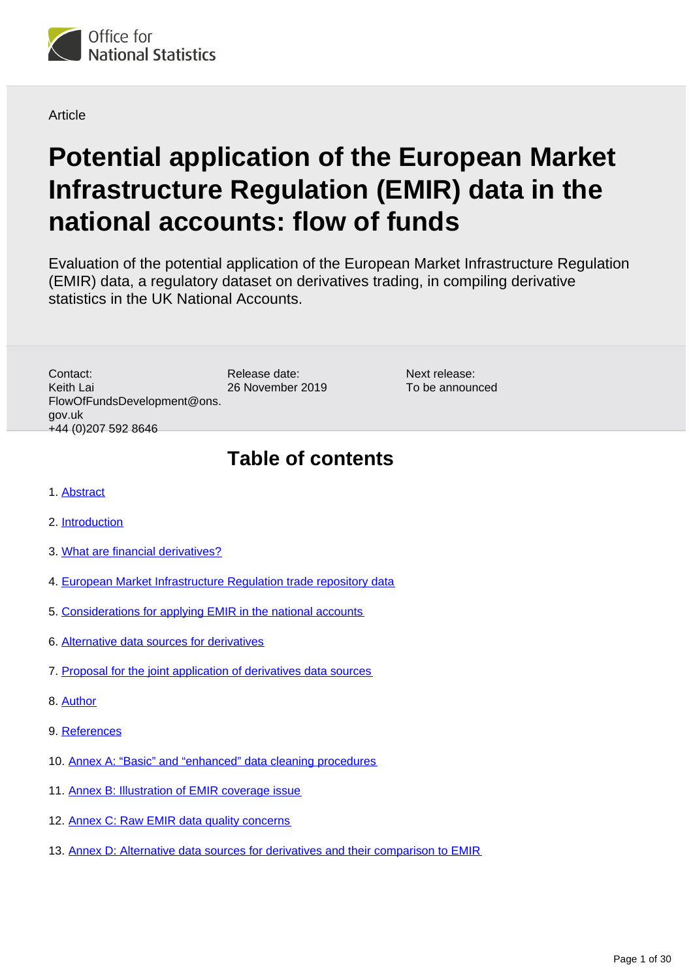<span id="page-0-0"></span>

Article

# **Potential application of the European Market Infrastructure Regulation (EMIR) data in the national accounts: flow of funds**

Evaluation of the potential application of the European Market Infrastructure Regulation (EMIR) data, a regulatory dataset on derivatives trading, in compiling derivative statistics in the UK National Accounts.

> Next release: To be announced

Release date: 26 November 2019 Contact: Keith Lai FlowOfFundsDevelopment@ons. gov.uk +44 (0)207 592 8646

## **Table of contents**

- 1. [Abstract](#page-1-0)
- 2. [Introduction](#page-1-1)
- 3. [What are financial derivatives?](#page-2-0)
- 4. [European Market Infrastructure Regulation trade repository data](#page-3-0)
- 5. [Considerations for applying EMIR in the national accounts](#page-7-0)
- 6. [Alternative data sources for derivatives](#page-13-0)
- 7. [Proposal for the joint application of derivatives data sources](#page-14-0)
- 8. [Author](#page-17-0)
- 9. [References](#page-17-1)
- 10. [Annex A: "Basic" and "enhanced" data cleaning procedures](#page-18-0)
- 11. [Annex B: Illustration of EMIR coverage issue](#page-19-0)
- 12. [Annex C: Raw EMIR data quality concerns](#page-21-0)
- 13. [Annex D: Alternative data sources for derivatives and their comparison to EMIR](#page-25-0)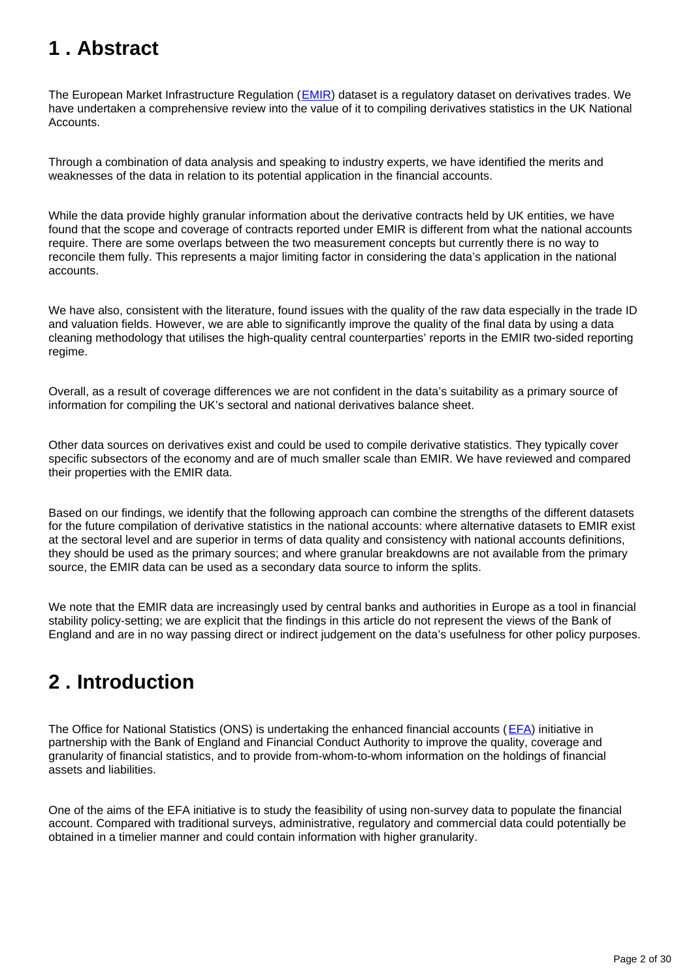## <span id="page-1-0"></span>**1 . Abstract**

The European Market Infrastructure Regulation (**EMIR**) dataset is a regulatory dataset on derivatives trades. We have undertaken a comprehensive review into the value of it to compiling derivatives statistics in the UK National Accounts.

Through a combination of data analysis and speaking to industry experts, we have identified the merits and weaknesses of the data in relation to its potential application in the financial accounts.

While the data provide highly granular information about the derivative contracts held by UK entities, we have found that the scope and coverage of contracts reported under EMIR is different from what the national accounts require. There are some overlaps between the two measurement concepts but currently there is no way to reconcile them fully. This represents a major limiting factor in considering the data's application in the national accounts.

We have also, consistent with the literature, found issues with the quality of the raw data especially in the trade ID and valuation fields. However, we are able to significantly improve the quality of the final data by using a data cleaning methodology that utilises the high-quality central counterparties' reports in the EMIR two-sided reporting regime.

Overall, as a result of coverage differences we are not confident in the data's suitability as a primary source of information for compiling the UK's sectoral and national derivatives balance sheet.

Other data sources on derivatives exist and could be used to compile derivative statistics. They typically cover specific subsectors of the economy and are of much smaller scale than EMIR. We have reviewed and compared their properties with the EMIR data.

Based on our findings, we identify that the following approach can combine the strengths of the different datasets for the future compilation of derivative statistics in the national accounts: where alternative datasets to EMIR exist at the sectoral level and are superior in terms of data quality and consistency with national accounts definitions, they should be used as the primary sources; and where granular breakdowns are not available from the primary source, the EMIR data can be used as a secondary data source to inform the splits.

We note that the EMIR data are increasingly used by central banks and authorities in Europe as a tool in financial stability policy-setting; we are explicit that the findings in this article do not represent the views of the Bank of England and are in no way passing direct or indirect judgement on the data's usefulness for other policy purposes.

## <span id="page-1-1"></span>**2 . Introduction**

The Office for National Statistics (ONS) is undertaking the enhanced financial accounts ([EFA\)](https://www.ons.gov.uk/economy/nationalaccounts/uksectoraccounts/articles/nationalaccountsarticles/2015-07-13) initiative in partnership with the Bank of England and Financial Conduct Authority to improve the quality, coverage and granularity of financial statistics, and to provide from-whom-to-whom information on the holdings of financial assets and liabilities.

One of the aims of the EFA initiative is to study the feasibility of using non-survey data to populate the financial account. Compared with traditional surveys, administrative, regulatory and commercial data could potentially be obtained in a timelier manner and could contain information with higher granularity.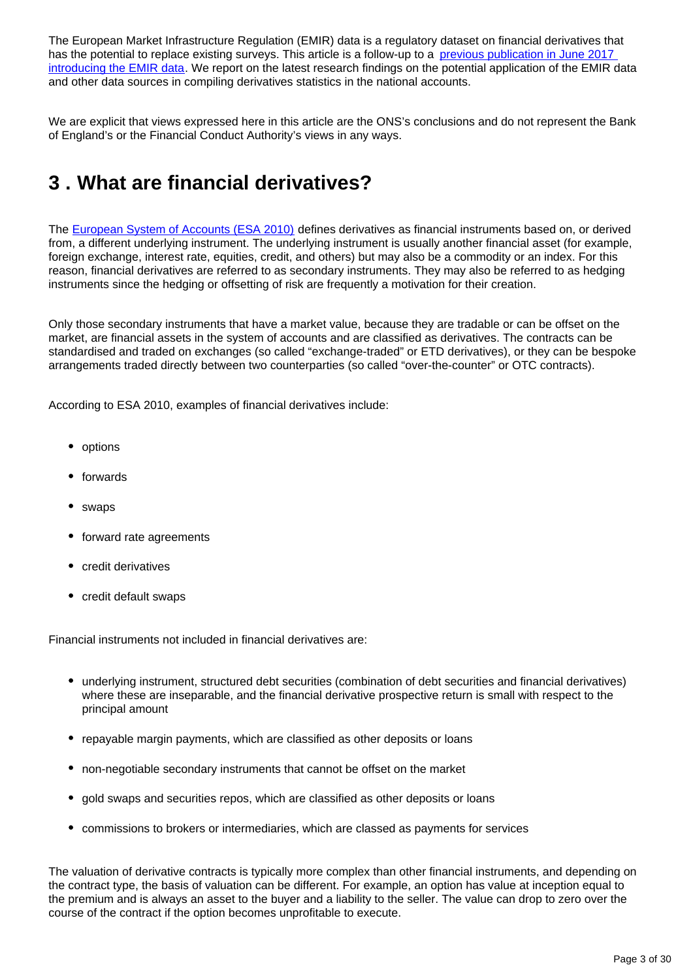The European Market Infrastructure Regulation (EMIR) data is a regulatory dataset on financial derivatives that has the potential to replace existing surveys. This article is a follow-up to a previous publication in June 2017 [introducing the EMIR data.](https://www.ons.gov.uk/economy/nationalaccounts/uksectoraccounts/articles/economicstatisticstransformationprogramme/enhancedfinancialaccountsukflowoffundsprogressonfinancialderivativesdata) We report on the latest research findings on the potential application of the EMIR data and other data sources in compiling derivatives statistics in the national accounts.

We are explicit that views expressed here in this article are the ONS's conclusions and do not represent the Bank of England's or the Financial Conduct Authority's views in any ways.

## <span id="page-2-0"></span>**3 . What are financial derivatives?**

The [European System of Accounts \(ESA 2010\)](https://ec.europa.eu/eurostat/web/esa-2010) defines derivatives as financial instruments based on, or derived from, a different underlying instrument. The underlying instrument is usually another financial asset (for example, foreign exchange, interest rate, equities, credit, and others) but may also be a commodity or an index. For this reason, financial derivatives are referred to as secondary instruments. They may also be referred to as hedging instruments since the hedging or offsetting of risk are frequently a motivation for their creation.

Only those secondary instruments that have a market value, because they are tradable or can be offset on the market, are financial assets in the system of accounts and are classified as derivatives. The contracts can be standardised and traded on exchanges (so called "exchange-traded" or ETD derivatives), or they can be bespoke arrangements traded directly between two counterparties (so called "over-the-counter" or OTC contracts).

According to ESA 2010, examples of financial derivatives include:

- options
- forwards
- swaps
- forward rate agreements
- credit derivatives
- credit default swaps

Financial instruments not included in financial derivatives are:

- underlying instrument, structured debt securities (combination of debt securities and financial derivatives) where these are inseparable, and the financial derivative prospective return is small with respect to the principal amount
- repayable margin payments, which are classified as other deposits or loans
- non-negotiable secondary instruments that cannot be offset on the market
- gold swaps and securities repos, which are classified as other deposits or loans
- commissions to brokers or intermediaries, which are classed as payments for services

The valuation of derivative contracts is typically more complex than other financial instruments, and depending on the contract type, the basis of valuation can be different. For example, an option has value at inception equal to the premium and is always an asset to the buyer and a liability to the seller. The value can drop to zero over the course of the contract if the option becomes unprofitable to execute.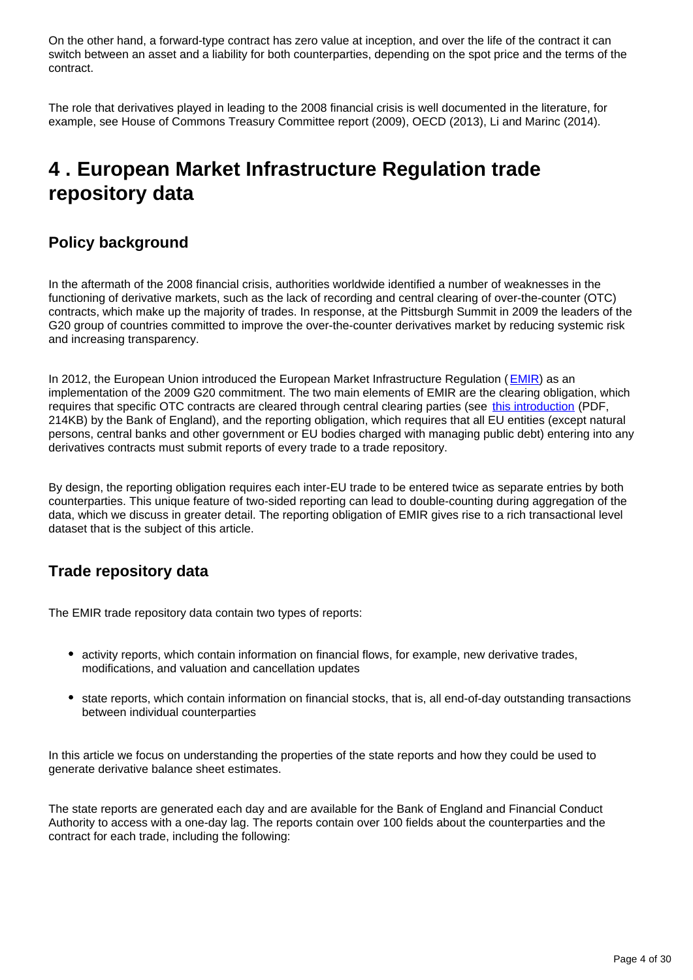On the other hand, a forward-type contract has zero value at inception, and over the life of the contract it can switch between an asset and a liability for both counterparties, depending on the spot price and the terms of the contract.

The role that derivatives played in leading to the 2008 financial crisis is well documented in the literature, for example, see House of Commons Treasury Committee report (2009), OECD (2013), Li and Marinc (2014).

## <span id="page-3-0"></span>**4 . European Market Infrastructure Regulation trade repository data**

## **Policy background**

In the aftermath of the 2008 financial crisis, authorities worldwide identified a number of weaknesses in the functioning of derivative markets, such as the lack of recording and central clearing of over-the-counter (OTC) contracts, which make up the majority of trades. In response, at the Pittsburgh Summit in 2009 the leaders of the G20 group of countries committed to improve the over-the-counter derivatives market by reducing systemic risk and increasing transparency.

In 2012, the European Union introduced the European Market Infrastructure Regulation ([EMIR](https://www.fca.org.uk/markets/emir)) as an implementation of the 2009 G20 commitment. The two main elements of EMIR are the clearing obligation, which requires that specific OTC contracts are cleared through central clearing parties (see [this introduction](https://www.bankofengland.co.uk/-/media/boe/files/quarterly-bulletin/2015/over-the-counter-derivatives-central-clearing-and-financial-stability.pdf) (PDF, 214KB) by the Bank of England), and the reporting obligation, which requires that all EU entities (except natural persons, central banks and other government or EU bodies charged with managing public debt) entering into any derivatives contracts must submit reports of every trade to a trade repository.

By design, the reporting obligation requires each inter-EU trade to be entered twice as separate entries by both counterparties. This unique feature of two-sided reporting can lead to double-counting during aggregation of the data, which we discuss in greater detail. The reporting obligation of EMIR gives rise to a rich transactional level dataset that is the subject of this article.

### **Trade repository data**

The EMIR trade repository data contain two types of reports:

- activity reports, which contain information on financial flows, for example, new derivative trades, modifications, and valuation and cancellation updates
- state reports, which contain information on financial stocks, that is, all end-of-day outstanding transactions between individual counterparties

In this article we focus on understanding the properties of the state reports and how they could be used to generate derivative balance sheet estimates.

The state reports are generated each day and are available for the Bank of England and Financial Conduct Authority to access with a one-day lag. The reports contain over 100 fields about the counterparties and the contract for each trade, including the following: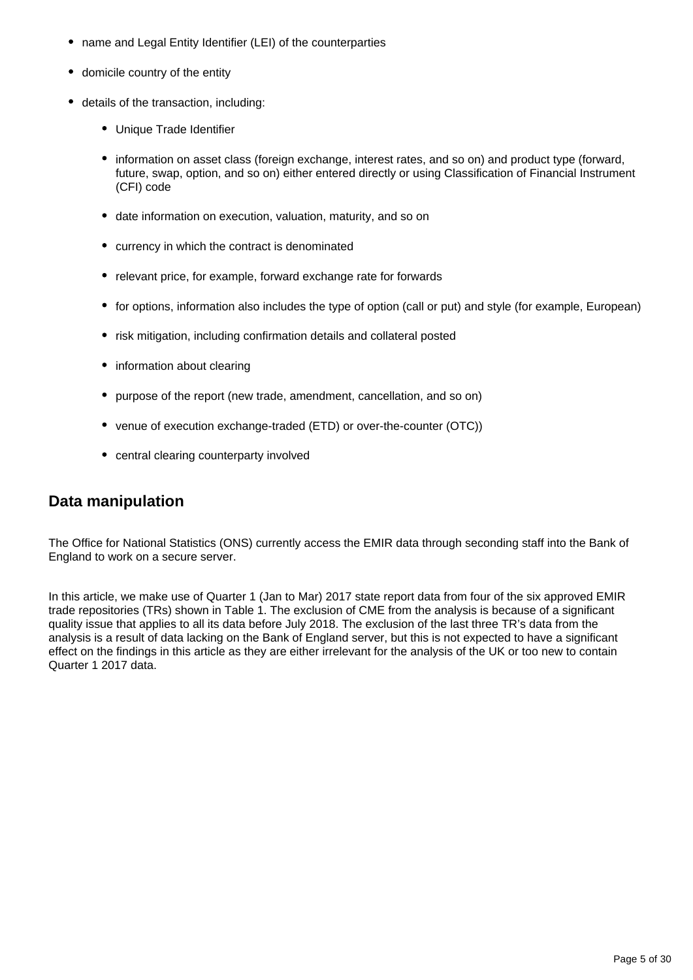- name and Legal Entity Identifier (LEI) of the counterparties
- domicile country of the entity
- details of the transaction, including:
	- Unique Trade Identifier
	- information on asset class (foreign exchange, interest rates, and so on) and product type (forward, future, swap, option, and so on) either entered directly or using Classification of Financial Instrument (CFI) code
	- date information on execution, valuation, maturity, and so on
	- currency in which the contract is denominated
	- relevant price, for example, forward exchange rate for forwards
	- for options, information also includes the type of option (call or put) and style (for example, European)
	- risk mitigation, including confirmation details and collateral posted
	- information about clearing
	- purpose of the report (new trade, amendment, cancellation, and so on)
	- venue of execution exchange-traded (ETD) or over-the-counter (OTC))
	- central clearing counterparty involved

### **Data manipulation**

The Office for National Statistics (ONS) currently access the EMIR data through seconding staff into the Bank of England to work on a secure server.

In this article, we make use of Quarter 1 (Jan to Mar) 2017 state report data from four of the six approved EMIR trade repositories (TRs) shown in Table 1. The exclusion of CME from the analysis is because of a significant quality issue that applies to all its data before July 2018. The exclusion of the last three TR's data from the analysis is a result of data lacking on the Bank of England server, but this is not expected to have a significant effect on the findings in this article as they are either irrelevant for the analysis of the UK or too new to contain Quarter 1 2017 data.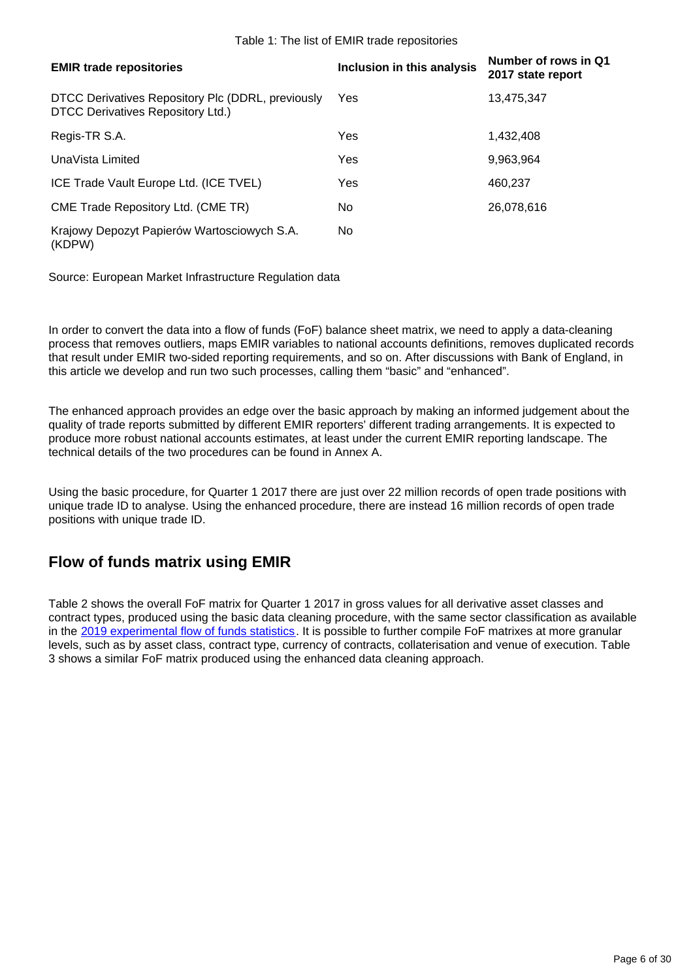#### Table 1: The list of EMIR trade repositories

| <b>EMIR trade repositories</b>                                                         | Inclusion in this analysis | Number of rows in Q1<br>2017 state report |
|----------------------------------------------------------------------------------------|----------------------------|-------------------------------------------|
| DTCC Derivatives Repository Plc (DDRL, previously<br>DTCC Derivatives Repository Ltd.) | Yes                        | 13,475,347                                |
| Regis-TR S.A.                                                                          | Yes                        | 1.432.408                                 |
| UnaVista Limited                                                                       | Yes                        | 9,963,964                                 |
| ICE Trade Vault Europe Ltd. (ICE TVEL)                                                 | Yes                        | 460,237                                   |
| CME Trade Repository Ltd. (CME TR)                                                     | No.                        | 26,078,616                                |
| Krajowy Depozyt Papierów Wartosciowych S.A.<br>(KDPW)                                  | No.                        |                                           |

Source: European Market Infrastructure Regulation data

In order to convert the data into a flow of funds (FoF) balance sheet matrix, we need to apply a data-cleaning process that removes outliers, maps EMIR variables to national accounts definitions, removes duplicated records that result under EMIR two-sided reporting requirements, and so on. After discussions with Bank of England, in this article we develop and run two such processes, calling them "basic" and "enhanced".

The enhanced approach provides an edge over the basic approach by making an informed judgement about the quality of trade reports submitted by different EMIR reporters' different trading arrangements. It is expected to produce more robust national accounts estimates, at least under the current EMIR reporting landscape. The technical details of the two procedures can be found in Annex A.

Using the basic procedure, for Quarter 1 2017 there are just over 22 million records of open trade positions with unique trade ID to analyse. Using the enhanced procedure, there are instead 16 million records of open trade positions with unique trade ID.

### **Flow of funds matrix using EMIR**

Table 2 shows the overall FoF matrix for Quarter 1 2017 in gross values for all derivative asset classes and contract types, produced using the basic data cleaning procedure, with the same sector classification as available in the [2019 experimental flow of funds statistics](https://www.ons.gov.uk/economy/nationalaccounts/uksectoraccounts/articles/economicstatisticstransformationprogrammeenahncedfinancialaccountsukflowoffunds2018matrixupdate/2019). It is possible to further compile FoF matrixes at more granular levels, such as by asset class, contract type, currency of contracts, collaterisation and venue of execution. Table 3 shows a similar FoF matrix produced using the enhanced data cleaning approach.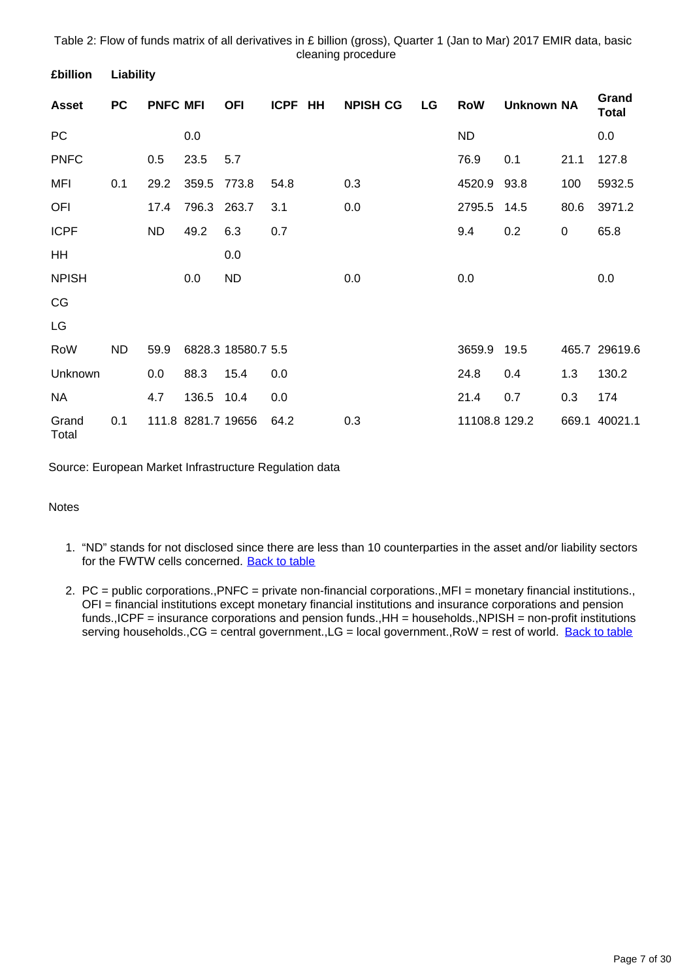Table 2: Flow of funds matrix of all derivatives in £ billion (gross), Quarter 1 (Jan to Mar) 2017 EMIR data, basic cleaning procedure

| <b>Asset</b>   | <b>PC</b> | <b>PNFC MFI</b> |                    | <b>OFI</b>         | <b>ICPF</b> | HH | <b>NPISH CG</b> | LG | <b>RoW</b>    | <b>Unknown NA</b> |           | Grand<br><b>Total</b> |
|----------------|-----------|-----------------|--------------------|--------------------|-------------|----|-----------------|----|---------------|-------------------|-----------|-----------------------|
| PC             |           |                 | 0.0                |                    |             |    |                 |    | <b>ND</b>     |                   |           | 0.0                   |
| <b>PNFC</b>    |           | 0.5             | 23.5               | 5.7                |             |    |                 |    | 76.9          | 0.1               | 21.1      | 127.8                 |
| <b>MFI</b>     | 0.1       | 29.2            | 359.5              | 773.8              | 54.8        |    | 0.3             |    | 4520.9        | 93.8              | 100       | 5932.5                |
| OFI            |           | 17.4            | 796.3              | 263.7              | 3.1         |    | 0.0             |    | 2795.5        | 14.5              | 80.6      | 3971.2                |
| <b>ICPF</b>    |           | <b>ND</b>       | 49.2               | 6.3                | 0.7         |    |                 |    | 9.4           | 0.2               | $\pmb{0}$ | 65.8                  |
| HH             |           |                 |                    | 0.0                |             |    |                 |    |               |                   |           |                       |
| <b>NPISH</b>   |           |                 | $0.0\,$            | <b>ND</b>          |             |    | 0.0             |    | 0.0           |                   |           | 0.0                   |
| CG             |           |                 |                    |                    |             |    |                 |    |               |                   |           |                       |
| LG             |           |                 |                    |                    |             |    |                 |    |               |                   |           |                       |
| RoW            | <b>ND</b> | 59.9            |                    | 6828.3 18580.7 5.5 |             |    |                 |    | 3659.9        | 19.5              |           | 465.7 29619.6         |
| Unknown        |           | 0.0             | 88.3               | 15.4               | 0.0         |    |                 |    | 24.8          | 0.4               | 1.3       | 130.2                 |
| <b>NA</b>      |           | 4.7             | 136.5              | 10.4               | 0.0         |    |                 |    | 21.4          | 0.7               | 0.3       | 174                   |
| Grand<br>Total | 0.1       |                 | 111.8 8281.7 19656 |                    | 64.2        |    | 0.3             |    | 11108.8 129.2 |                   | 669.1     | 40021.1               |

Source: European Market Infrastructure Regulation data

#### Notes

**£billion Liability**

- 1. "ND" stands for not disclosed since there are less than 10 counterparties in the asset and/or liability sectors for the FWTW cells concerned. [Back to table](#page-0-0)
- 2. PC = public corporations.,PNFC = private non-financial corporations.,MFI = monetary financial institutions., OFI = financial institutions except monetary financial institutions and insurance corporations and pension funds.,ICPF = insurance corporations and pension funds.,HH = households.,NPISH = non-profit institutions serving households., CG = central government., LG = local government., RoW = rest of world. [Back to table](#page-0-0)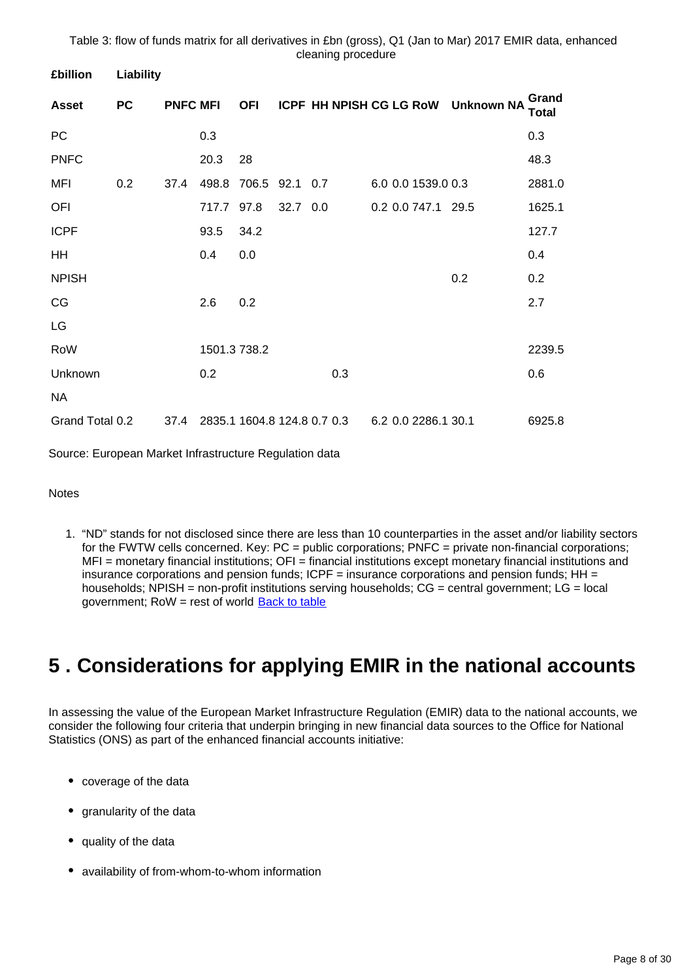Table 3: flow of funds matrix for all derivatives in £bn (gross), Q1 (Jan to Mar) 2017 EMIR data, enhanced cleaning procedure

| <b>£billion</b> | Liability |                 |              |                |          |                             |                         |                   |                |
|-----------------|-----------|-----------------|--------------|----------------|----------|-----------------------------|-------------------------|-------------------|----------------|
| <b>Asset</b>    | <b>PC</b> | <b>PNFC MFI</b> |              | <b>OFI</b>     |          |                             | ICPF HH NPISH CG LG RoW | <b>Unknown NA</b> | Grand<br>Total |
| PC              |           |                 | 0.3          |                |          |                             |                         |                   | 0.3            |
| <b>PNFC</b>     |           |                 | 20.3         | 28             |          |                             |                         |                   | 48.3           |
| MFI             | 0.2       | 37.4            | 498.8        | 706.5 92.1 0.7 |          |                             | 6.0 0.0 1539.0 0.3      |                   | 2881.0         |
| OFI             |           |                 | 717.7        | 97.8           | 32.7 0.0 |                             | 0.2 0.0 747.1 29.5      |                   | 1625.1         |
| <b>ICPF</b>     |           |                 | 93.5         | 34.2           |          |                             |                         |                   | 127.7          |
| HH              |           |                 | 0.4          | 0.0            |          |                             |                         |                   | 0.4            |
| <b>NPISH</b>    |           |                 |              |                |          |                             |                         | 0.2               | 0.2            |
| CG              |           |                 | 2.6          | 0.2            |          |                             |                         |                   | 2.7            |
| LG              |           |                 |              |                |          |                             |                         |                   |                |
| RoW             |           |                 | 1501.3 738.2 |                |          |                             |                         |                   | 2239.5         |
| Unknown         |           |                 | 0.2          |                |          | 0.3                         |                         |                   | 0.6            |
| <b>NA</b>       |           |                 |              |                |          |                             |                         |                   |                |
| Grand Total 0.2 |           | 37.4            |              |                |          | 2835.1 1604.8 124.8 0.7 0.3 | 6.2 0.0 2286.1 30.1     |                   | 6925.8         |

Source: European Market Infrastructure Regulation data

Notes

1. "ND" stands for not disclosed since there are less than 10 counterparties in the asset and/or liability sectors for the FWTW cells concerned. Key: PC = public corporations; PNFC = private non-financial corporations; MFI = monetary financial institutions; OFI = financial institutions except monetary financial institutions and insurance corporations and pension funds;  $ICPF =$  insurance corporations and pension funds;  $HH =$ households; NPISH = non-profit institutions serving households; CG = central government; LG = local government; RoW = rest of world **[Back to table](#page-0-0)** 

## <span id="page-7-0"></span>**5 . Considerations for applying EMIR in the national accounts**

In assessing the value of the European Market Infrastructure Regulation (EMIR) data to the national accounts, we consider the following four criteria that underpin bringing in new financial data sources to the Office for National Statistics (ONS) as part of the enhanced financial accounts initiative:

- coverage of the data
- granularity of the data
- quality of the data
- availability of from-whom-to-whom information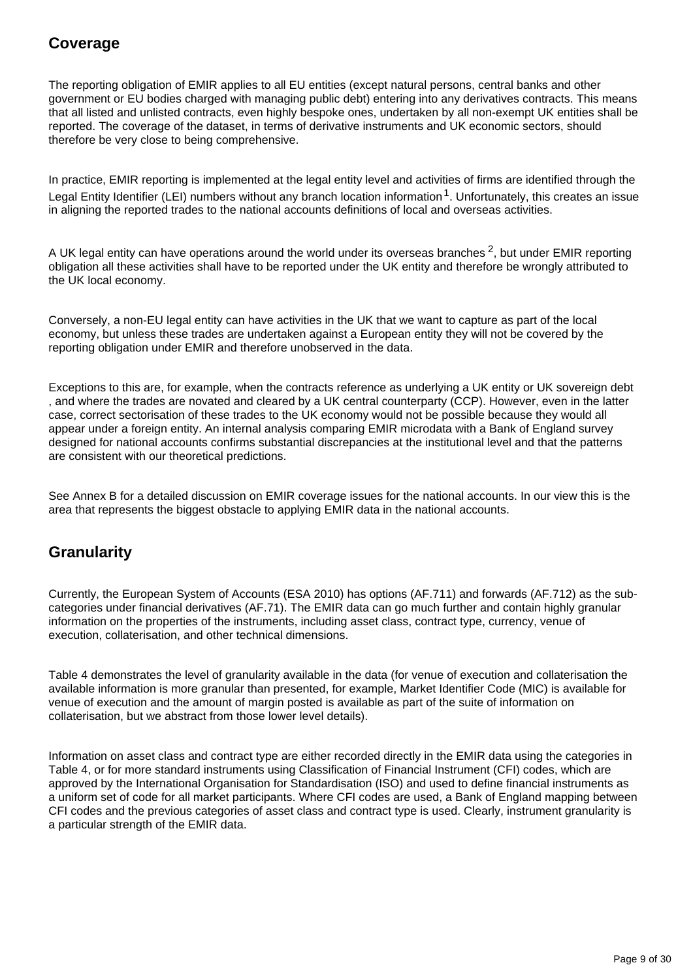## **Coverage**

The reporting obligation of EMIR applies to all EU entities (except natural persons, central banks and other government or EU bodies charged with managing public debt) entering into any derivatives contracts. This means that all listed and unlisted contracts, even highly bespoke ones, undertaken by all non-exempt UK entities shall be reported. The coverage of the dataset, in terms of derivative instruments and UK economic sectors, should therefore be very close to being comprehensive.

In practice, EMIR reporting is implemented at the legal entity level and activities of firms are identified through the Legal Entity Identifier (LEI) numbers without any branch location information  $1$ . Unfortunately, this creates an issue in aligning the reported trades to the national accounts definitions of local and overseas activities.

A UK legal entity can have operations around the world under its overseas branches  $2$ , but under EMIR reporting obligation all these activities shall have to be reported under the UK entity and therefore be wrongly attributed to the UK local economy.

Conversely, a non-EU legal entity can have activities in the UK that we want to capture as part of the local economy, but unless these trades are undertaken against a European entity they will not be covered by the reporting obligation under EMIR and therefore unobserved in the data.

Exceptions to this are, for example, when the contracts reference as underlying a UK entity or UK sovereign debt , and where the trades are novated and cleared by a UK central counterparty (CCP). However, even in the latter case, correct sectorisation of these trades to the UK economy would not be possible because they would all appear under a foreign entity. An internal analysis comparing EMIR microdata with a Bank of England survey designed for national accounts confirms substantial discrepancies at the institutional level and that the patterns are consistent with our theoretical predictions.

See Annex B for a detailed discussion on EMIR coverage issues for the national accounts. In our view this is the area that represents the biggest obstacle to applying EMIR data in the national accounts.

### **Granularity**

Currently, the European System of Accounts (ESA 2010) has options (AF.711) and forwards (AF.712) as the subcategories under financial derivatives (AF.71). The EMIR data can go much further and contain highly granular information on the properties of the instruments, including asset class, contract type, currency, venue of execution, collaterisation, and other technical dimensions.

Table 4 demonstrates the level of granularity available in the data (for venue of execution and collaterisation the available information is more granular than presented, for example, Market Identifier Code (MIC) is available for venue of execution and the amount of margin posted is available as part of the suite of information on collaterisation, but we abstract from those lower level details).

Information on asset class and contract type are either recorded directly in the EMIR data using the categories in Table 4, or for more standard instruments using Classification of Financial Instrument (CFI) codes, which are approved by the International Organisation for Standardisation (ISO) and used to define financial instruments as a uniform set of code for all market participants. Where CFI codes are used, a Bank of England mapping between CFI codes and the previous categories of asset class and contract type is used. Clearly, instrument granularity is a particular strength of the EMIR data.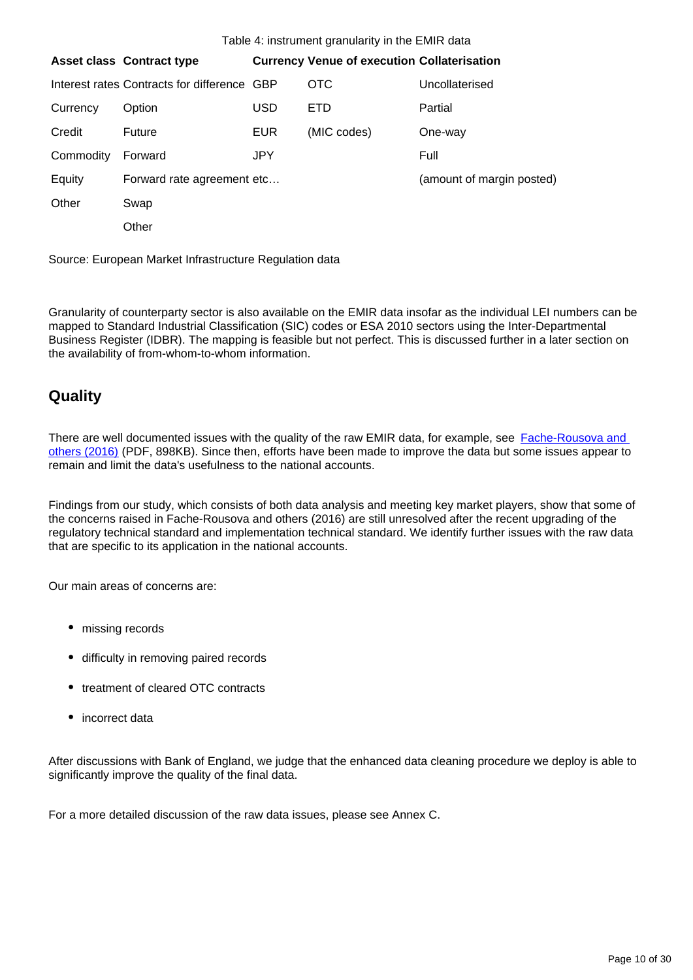|           | <b>Asset class Contract type</b>            |            | <b>Currency Venue of execution Collaterisation</b> |                           |
|-----------|---------------------------------------------|------------|----------------------------------------------------|---------------------------|
|           |                                             |            |                                                    |                           |
|           | Interest rates Contracts for difference GBP |            | OTC                                                | Uncollaterised            |
| Currency  | Option                                      | USD        | <b>ETD</b>                                         | Partial                   |
| Credit    | Future                                      | <b>EUR</b> | (MIC codes)                                        | One-way                   |
| Commodity | Forward                                     | JPY.       |                                                    | Full                      |
| Equity    | Forward rate agreement etc                  |            |                                                    | (amount of margin posted) |
| Other     | Swap                                        |            |                                                    |                           |
|           | Other                                       |            |                                                    |                           |

Source: European Market Infrastructure Regulation data

Granularity of counterparty sector is also available on the EMIR data insofar as the individual LEI numbers can be mapped to Standard Industrial Classification (SIC) codes or ESA 2010 sectors using the Inter-Departmental Business Register (IDBR). The mapping is feasible but not perfect. This is discussed further in a later section on the availability of from-whom-to-whom information.

### **Quality**

There are well documented issues with the quality of the raw EMIR data, for example, see Fache-Rousova and [others \(2016\)](https://www.bis.org/ifc/publ/ifcb41zd.pdf) (PDF, 898KB). Since then, efforts have been made to improve the data but some issues appear to remain and limit the data's usefulness to the national accounts.

Findings from our study, which consists of both data analysis and meeting key market players, show that some of the concerns raised in Fache-Rousova and others (2016) are still unresolved after the recent upgrading of the regulatory technical standard and implementation technical standard. We identify further issues with the raw data that are specific to its application in the national accounts.

Our main areas of concerns are:

- missing records
- difficulty in removing paired records
- treatment of cleared OTC contracts
- incorrect data

After discussions with Bank of England, we judge that the enhanced data cleaning procedure we deploy is able to significantly improve the quality of the final data.

For a more detailed discussion of the raw data issues, please see Annex C.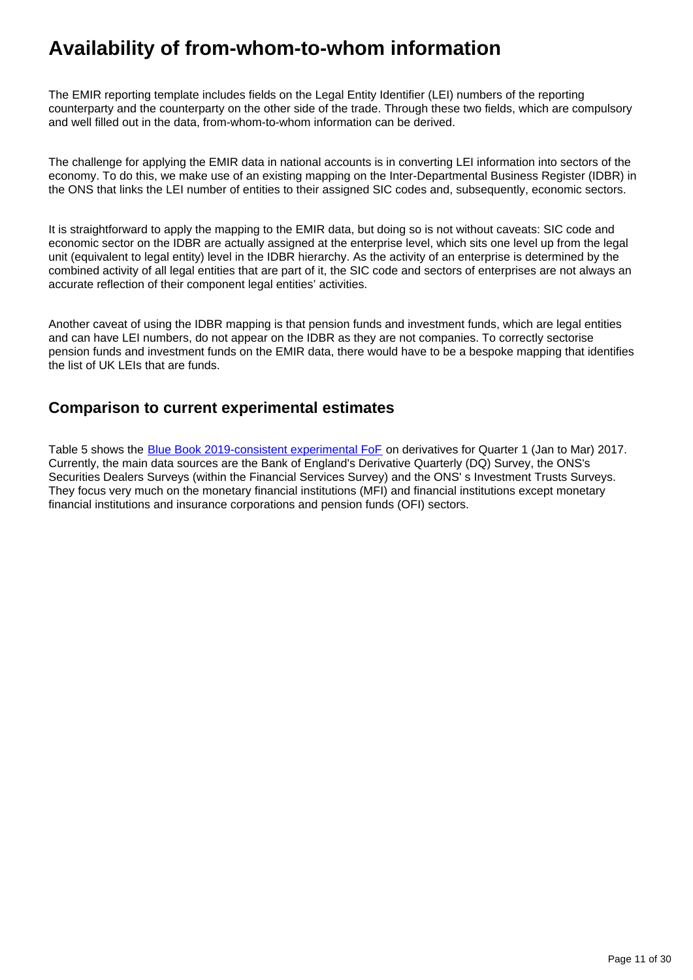## **Availability of from-whom-to-whom information**

The EMIR reporting template includes fields on the Legal Entity Identifier (LEI) numbers of the reporting counterparty and the counterparty on the other side of the trade. Through these two fields, which are compulsory and well filled out in the data, from-whom-to-whom information can be derived.

The challenge for applying the EMIR data in national accounts is in converting LEI information into sectors of the economy. To do this, we make use of an existing mapping on the Inter-Departmental Business Register (IDBR) in the ONS that links the LEI number of entities to their assigned SIC codes and, subsequently, economic sectors.

It is straightforward to apply the mapping to the EMIR data, but doing so is not without caveats: SIC code and economic sector on the IDBR are actually assigned at the enterprise level, which sits one level up from the legal unit (equivalent to legal entity) level in the IDBR hierarchy. As the activity of an enterprise is determined by the combined activity of all legal entities that are part of it, the SIC code and sectors of enterprises are not always an accurate reflection of their component legal entities' activities.

Another caveat of using the IDBR mapping is that pension funds and investment funds, which are legal entities and can have LEI numbers, do not appear on the IDBR as they are not companies. To correctly sectorise pension funds and investment funds on the EMIR data, there would have to be a bespoke mapping that identifies the list of UK LEIs that are funds.

### **Comparison to current experimental estimates**

Table 5 shows the [Blue Book 2019-consistent experimental FoF](https://www.ons.gov.uk/economy/nationalaccounts/uksectoraccounts/articles/economicstatisticstransformationprogrammeenhancedfinancialaccountsukflowoffunds2018matrixupdate) on derivatives for Quarter 1 (Jan to Mar) 2017. Currently, the main data sources are the Bank of England's Derivative Quarterly (DQ) Survey, the ONS's Securities Dealers Surveys (within the Financial Services Survey) and the ONS' s Investment Trusts Surveys. They focus very much on the monetary financial institutions (MFI) and financial institutions except monetary financial institutions and insurance corporations and pension funds (OFI) sectors.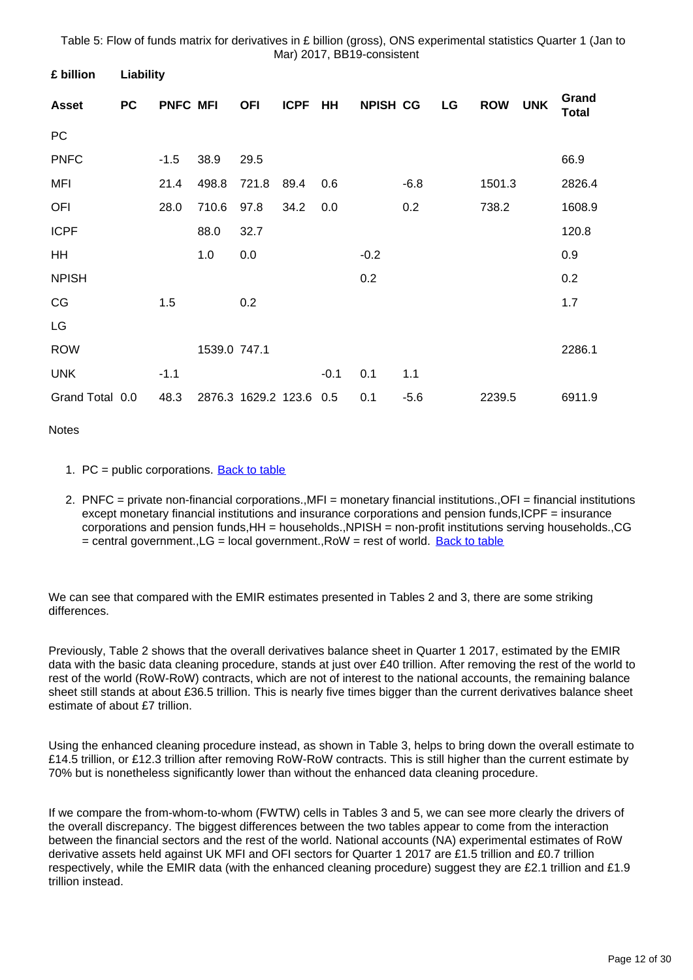Table 5: Flow of funds matrix for derivatives in £ billion (gross), ONS experimental statistics Quarter 1 (Jan to Mar) 2017, BB19-consistent

| <b>Liability</b> |        |       |                 |              |        |                     |        |                 |            |            |                       |
|------------------|--------|-------|-----------------|--------------|--------|---------------------|--------|-----------------|------------|------------|-----------------------|
| <b>PC</b>        |        |       | <b>OFI</b>      | <b>ICPF</b>  | HH     |                     |        | LG              | <b>ROW</b> | <b>UNK</b> | Grand<br><b>Total</b> |
|                  |        |       |                 |              |        |                     |        |                 |            |            |                       |
|                  | $-1.5$ | 38.9  | 29.5            |              |        |                     |        |                 |            |            | 66.9                  |
|                  | 21.4   | 498.8 | 721.8           | 89.4         | 0.6    |                     | $-6.8$ |                 | 1501.3     |            | 2826.4                |
|                  | 28.0   | 710.6 | 97.8            | 34.2         | 0.0    |                     | 0.2    |                 | 738.2      |            | 1608.9                |
|                  |        | 88.0  | 32.7            |              |        |                     |        |                 |            |            | 120.8                 |
|                  |        | 1.0   | 0.0             |              |        | $-0.2$              |        |                 |            |            | 0.9                   |
|                  |        |       |                 |              |        | 0.2                 |        |                 |            |            | 0.2                   |
|                  | 1.5    |       | 0.2             |              |        |                     |        |                 |            |            | 1.7                   |
|                  |        |       |                 |              |        |                     |        |                 |            |            |                       |
|                  |        |       |                 |              |        |                     |        |                 |            |            | 2286.1                |
|                  | $-1.1$ |       |                 |              | $-0.1$ | 0.1                 | 1.1    |                 |            |            |                       |
| Grand Total 0.0  | 48.3   |       |                 |              | 0.5    | 0.1                 | $-5.6$ |                 | 2239.5     |            | 6911.9                |
|                  |        |       | <b>PNFC MFI</b> | 1539.0 747.1 |        | 2876.3 1629.2 123.6 |        | <b>NPISH CG</b> |            |            |                       |

**Notes** 

- 1. PC = public corporations. **[Back to table](#page-0-0)**
- 2. PNFC = private non-financial corporations.,MFI = monetary financial institutions.,OFI = financial institutions except monetary financial institutions and insurance corporations and pension funds,ICPF = insurance corporations and pension funds,HH = households.,NPISH = non-profit institutions serving households.,CG = central government.,LG = local government.,RoW = rest of world. [Back to table](#page-0-0)

We can see that compared with the EMIR estimates presented in Tables 2 and 3, there are some striking differences.

Previously, Table 2 shows that the overall derivatives balance sheet in Quarter 1 2017, estimated by the EMIR data with the basic data cleaning procedure, stands at just over £40 trillion. After removing the rest of the world to rest of the world (RoW-RoW) contracts, which are not of interest to the national accounts, the remaining balance sheet still stands at about £36.5 trillion. This is nearly five times bigger than the current derivatives balance sheet estimate of about £7 trillion.

Using the enhanced cleaning procedure instead, as shown in Table 3, helps to bring down the overall estimate to £14.5 trillion, or £12.3 trillion after removing RoW-RoW contracts. This is still higher than the current estimate by 70% but is nonetheless significantly lower than without the enhanced data cleaning procedure.

If we compare the from-whom-to-whom (FWTW) cells in Tables 3 and 5, we can see more clearly the drivers of the overall discrepancy. The biggest differences between the two tables appear to come from the interaction between the financial sectors and the rest of the world. National accounts (NA) experimental estimates of RoW derivative assets held against UK MFI and OFI sectors for Quarter 1 2017 are £1.5 trillion and £0.7 trillion respectively, while the EMIR data (with the enhanced cleaning procedure) suggest they are £2.1 trillion and £1.9 trillion instead.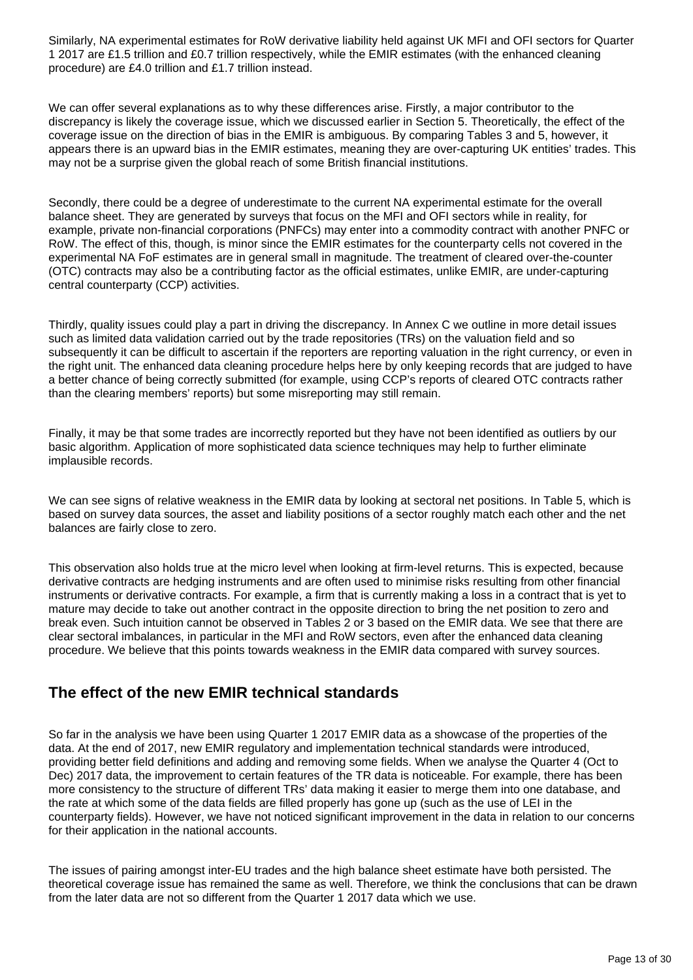Similarly, NA experimental estimates for RoW derivative liability held against UK MFI and OFI sectors for Quarter 1 2017 are £1.5 trillion and £0.7 trillion respectively, while the EMIR estimates (with the enhanced cleaning procedure) are £4.0 trillion and £1.7 trillion instead.

We can offer several explanations as to why these differences arise. Firstly, a major contributor to the discrepancy is likely the coverage issue, which we discussed earlier in Section 5. Theoretically, the effect of the coverage issue on the direction of bias in the EMIR is ambiguous. By comparing Tables 3 and 5, however, it appears there is an upward bias in the EMIR estimates, meaning they are over-capturing UK entities' trades. This may not be a surprise given the global reach of some British financial institutions.

Secondly, there could be a degree of underestimate to the current NA experimental estimate for the overall balance sheet. They are generated by surveys that focus on the MFI and OFI sectors while in reality, for example, private non-financial corporations (PNFCs) may enter into a commodity contract with another PNFC or RoW. The effect of this, though, is minor since the EMIR estimates for the counterparty cells not covered in the experimental NA FoF estimates are in general small in magnitude. The treatment of cleared over-the-counter (OTC) contracts may also be a contributing factor as the official estimates, unlike EMIR, are under-capturing central counterparty (CCP) activities.

Thirdly, quality issues could play a part in driving the discrepancy. In Annex C we outline in more detail issues such as limited data validation carried out by the trade repositories (TRs) on the valuation field and so subsequently it can be difficult to ascertain if the reporters are reporting valuation in the right currency, or even in the right unit. The enhanced data cleaning procedure helps here by only keeping records that are judged to have a better chance of being correctly submitted (for example, using CCP's reports of cleared OTC contracts rather than the clearing members' reports) but some misreporting may still remain.

Finally, it may be that some trades are incorrectly reported but they have not been identified as outliers by our basic algorithm. Application of more sophisticated data science techniques may help to further eliminate implausible records.

We can see signs of relative weakness in the EMIR data by looking at sectoral net positions. In Table 5, which is based on survey data sources, the asset and liability positions of a sector roughly match each other and the net balances are fairly close to zero.

This observation also holds true at the micro level when looking at firm-level returns. This is expected, because derivative contracts are hedging instruments and are often used to minimise risks resulting from other financial instruments or derivative contracts. For example, a firm that is currently making a loss in a contract that is yet to mature may decide to take out another contract in the opposite direction to bring the net position to zero and break even. Such intuition cannot be observed in Tables 2 or 3 based on the EMIR data. We see that there are clear sectoral imbalances, in particular in the MFI and RoW sectors, even after the enhanced data cleaning procedure. We believe that this points towards weakness in the EMIR data compared with survey sources.

### **The effect of the new EMIR technical standards**

So far in the analysis we have been using Quarter 1 2017 EMIR data as a showcase of the properties of the data. At the end of 2017, new EMIR regulatory and implementation technical standards were introduced, providing better field definitions and adding and removing some fields. When we analyse the Quarter 4 (Oct to Dec) 2017 data, the improvement to certain features of the TR data is noticeable. For example, there has been more consistency to the structure of different TRs' data making it easier to merge them into one database, and the rate at which some of the data fields are filled properly has gone up (such as the use of LEI in the counterparty fields). However, we have not noticed significant improvement in the data in relation to our concerns for their application in the national accounts.

The issues of pairing amongst inter-EU trades and the high balance sheet estimate have both persisted. The theoretical coverage issue has remained the same as well. Therefore, we think the conclusions that can be drawn from the later data are not so different from the Quarter 1 2017 data which we use.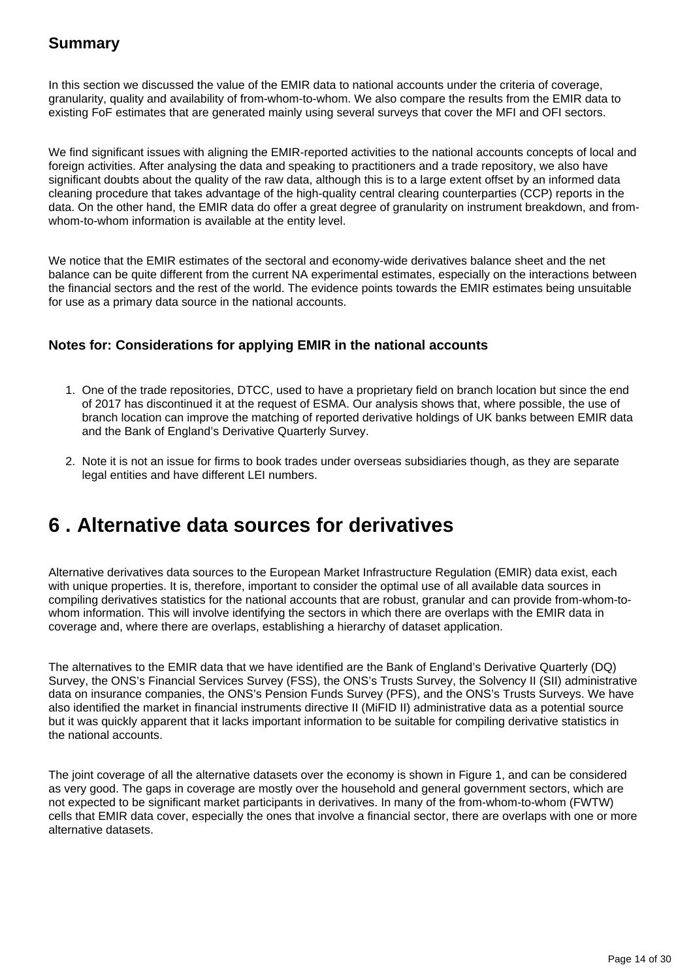In this section we discussed the value of the EMIR data to national accounts under the criteria of coverage, granularity, quality and availability of from-whom-to-whom. We also compare the results from the EMIR data to existing FoF estimates that are generated mainly using several surveys that cover the MFI and OFI sectors.

We find significant issues with aligning the EMIR-reported activities to the national accounts concepts of local and foreign activities. After analysing the data and speaking to practitioners and a trade repository, we also have significant doubts about the quality of the raw data, although this is to a large extent offset by an informed data cleaning procedure that takes advantage of the high-quality central clearing counterparties (CCP) reports in the data. On the other hand, the EMIR data do offer a great degree of granularity on instrument breakdown, and fromwhom-to-whom information is available at the entity level.

We notice that the EMIR estimates of the sectoral and economy-wide derivatives balance sheet and the net balance can be quite different from the current NA experimental estimates, especially on the interactions between the financial sectors and the rest of the world. The evidence points towards the EMIR estimates being unsuitable for use as a primary data source in the national accounts.

#### **Notes for: Considerations for applying EMIR in the national accounts**

- 1. One of the trade repositories, DTCC, used to have a proprietary field on branch location but since the end of 2017 has discontinued it at the request of ESMA. Our analysis shows that, where possible, the use of branch location can improve the matching of reported derivative holdings of UK banks between EMIR data and the Bank of England's Derivative Quarterly Survey.
- 2. Note it is not an issue for firms to book trades under overseas subsidiaries though, as they are separate legal entities and have different LEI numbers.

## <span id="page-13-0"></span>**6 . Alternative data sources for derivatives**

Alternative derivatives data sources to the European Market Infrastructure Regulation (EMIR) data exist, each with unique properties. It is, therefore, important to consider the optimal use of all available data sources in compiling derivatives statistics for the national accounts that are robust, granular and can provide from-whom-towhom information. This will involve identifying the sectors in which there are overlaps with the EMIR data in coverage and, where there are overlaps, establishing a hierarchy of dataset application.

The alternatives to the EMIR data that we have identified are the Bank of England's Derivative Quarterly (DQ) Survey, the ONS's Financial Services Survey (FSS), the ONS's Trusts Survey, the Solvency II (SII) administrative data on insurance companies, the ONS's Pension Funds Survey (PFS), and the ONS's Trusts Surveys. We have also identified the market in financial instruments directive II (MiFID II) administrative data as a potential source but it was quickly apparent that it lacks important information to be suitable for compiling derivative statistics in the national accounts.

The joint coverage of all the alternative datasets over the economy is shown in Figure 1, and can be considered as very good. The gaps in coverage are mostly over the household and general government sectors, which are not expected to be significant market participants in derivatives. In many of the from-whom-to-whom (FWTW) cells that EMIR data cover, especially the ones that involve a financial sector, there are overlaps with one or more alternative datasets.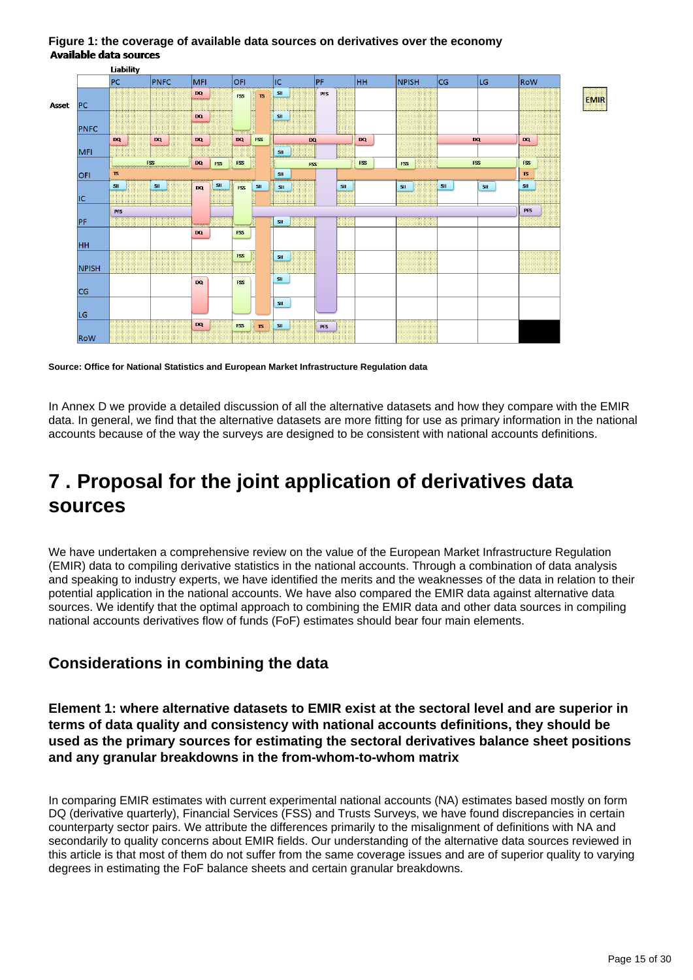

#### **Figure 1: the coverage of available data sources on derivatives over the economy Available data sources**

**Source: Office for National Statistics and European Market Infrastructure Regulation data**

In Annex D we provide a detailed discussion of all the alternative datasets and how they compare with the EMIR data. In general, we find that the alternative datasets are more fitting for use as primary information in the national accounts because of the way the surveys are designed to be consistent with national accounts definitions.

## <span id="page-14-0"></span>**7 . Proposal for the joint application of derivatives data sources**

We have undertaken a comprehensive review on the value of the European Market Infrastructure Regulation (EMIR) data to compiling derivative statistics in the national accounts. Through a combination of data analysis and speaking to industry experts, we have identified the merits and the weaknesses of the data in relation to their potential application in the national accounts. We have also compared the EMIR data against alternative data sources. We identify that the optimal approach to combining the EMIR data and other data sources in compiling national accounts derivatives flow of funds (FoF) estimates should bear four main elements.

### **Considerations in combining the data**

**Element 1: where alternative datasets to EMIR exist at the sectoral level and are superior in terms of data quality and consistency with national accounts definitions, they should be used as the primary sources for estimating the sectoral derivatives balance sheet positions and any granular breakdowns in the from-whom-to-whom matrix**

In comparing EMIR estimates with current experimental national accounts (NA) estimates based mostly on form DQ (derivative quarterly), Financial Services (FSS) and Trusts Surveys, we have found discrepancies in certain counterparty sector pairs. We attribute the differences primarily to the misalignment of definitions with NA and secondarily to quality concerns about EMIR fields. Our understanding of the alternative data sources reviewed in this article is that most of them do not suffer from the same coverage issues and are of superior quality to varying degrees in estimating the FoF balance sheets and certain granular breakdowns.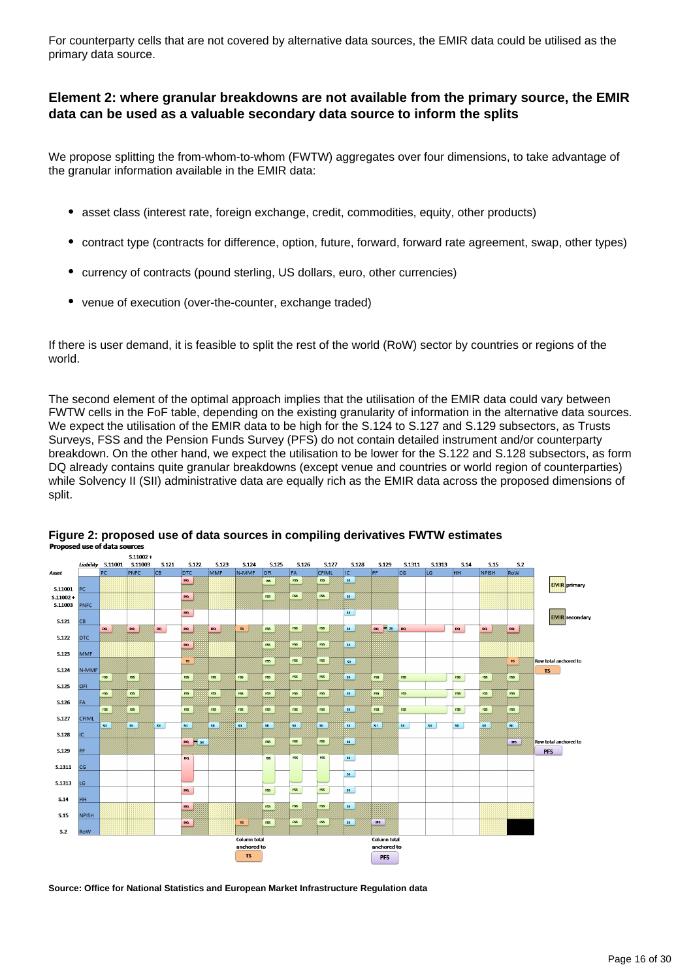For counterparty cells that are not covered by alternative data sources, the EMIR data could be utilised as the primary data source.

#### **Element 2: where granular breakdowns are not available from the primary source, the EMIR data can be used as a valuable secondary data source to inform the splits**

We propose splitting the from-whom-to-whom (FWTW) aggregates over four dimensions, to take advantage of the granular information available in the EMIR data:

- $\bullet$ asset class (interest rate, foreign exchange, credit, commodities, equity, other products)
- contract type (contracts for difference, option, future, forward, forward rate agreement, swap, other types)
- currency of contracts (pound sterling, US dollars, euro, other currencies)
- venue of execution (over-the-counter, exchange traded)

If there is user demand, it is feasible to split the rest of the world (RoW) sector by countries or regions of the world.

The second element of the optimal approach implies that the utilisation of the EMIR data could vary between FWTW cells in the FoF table, depending on the existing granularity of information in the alternative data sources. We expect the utilisation of the EMIR data to be high for the S.124 to S.127 and S.129 subsectors, as Trusts Surveys, FSS and the Pension Funds Survey (PFS) do not contain detailed instrument and/or counterparty breakdown. On the other hand, we expect the utilisation to be lower for the S.122 and S.128 subsectors, as form DQ already contains quite granular breakdowns (except venue and countries or world region of counterparties) while Solvency II (SII) administrative data are equally rich as the EMIR data across the proposed dimensions of split.



#### **Figure 2: proposed use of data sources in compiling derivatives FWTW estimates** Proposed use of data sources

**Source: Office for National Statistics and European Market Infrastructure Regulation data**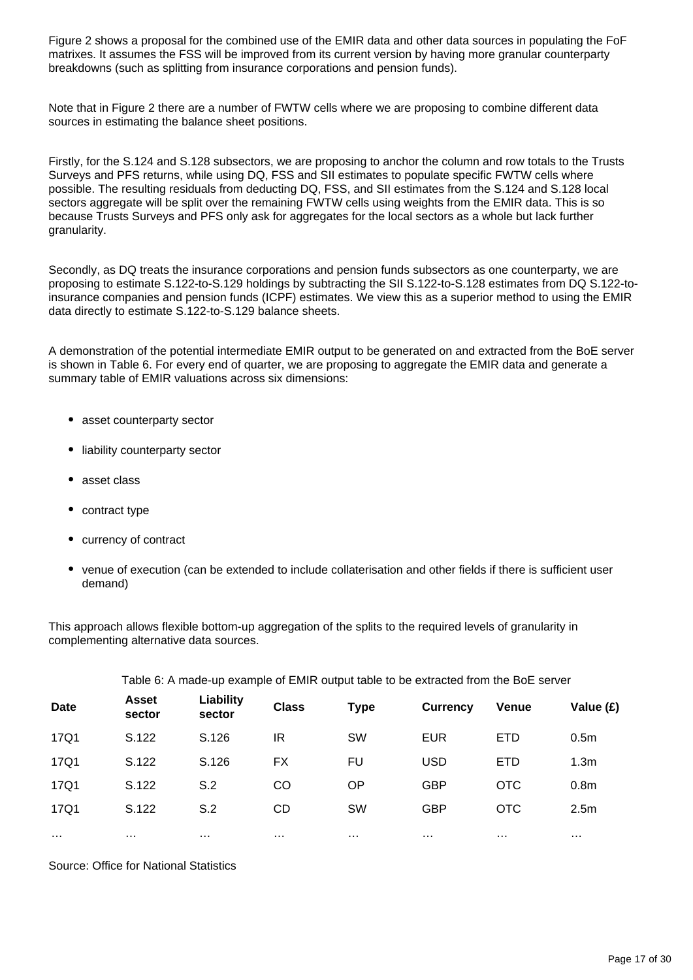Figure 2 shows a proposal for the combined use of the EMIR data and other data sources in populating the FoF matrixes. It assumes the FSS will be improved from its current version by having more granular counterparty breakdowns (such as splitting from insurance corporations and pension funds).

Note that in Figure 2 there are a number of FWTW cells where we are proposing to combine different data sources in estimating the balance sheet positions.

Firstly, for the S.124 and S.128 subsectors, we are proposing to anchor the column and row totals to the Trusts Surveys and PFS returns, while using DQ, FSS and SII estimates to populate specific FWTW cells where possible. The resulting residuals from deducting DQ, FSS, and SII estimates from the S.124 and S.128 local sectors aggregate will be split over the remaining FWTW cells using weights from the EMIR data. This is so because Trusts Surveys and PFS only ask for aggregates for the local sectors as a whole but lack further granularity.

Secondly, as DQ treats the insurance corporations and pension funds subsectors as one counterparty, we are proposing to estimate S.122-to-S.129 holdings by subtracting the SII S.122-to-S.128 estimates from DQ S.122-toinsurance companies and pension funds (ICPF) estimates. We view this as a superior method to using the EMIR data directly to estimate S.122-to-S.129 balance sheets.

A demonstration of the potential intermediate EMIR output to be generated on and extracted from the BoE server is shown in Table 6. For every end of quarter, we are proposing to aggregate the EMIR data and generate a summary table of EMIR valuations across six dimensions:

- asset counterparty sector
- liability counterparty sector
- asset class
- contract type
- currency of contract
- venue of execution (can be extended to include collaterisation and other fields if there is sufficient user demand)

This approach allows flexible bottom-up aggregation of the splits to the required levels of granularity in complementing alternative data sources.

|                      | $\frac{1}{2}$ and $\frac{1}{2}$ . This same the criterial of $\frac{1}{2}$ . Then the state $\frac{1}{2}$ of $\frac{1}{2}$ and $\frac{1}{2}$ and $\frac{1}{2}$ and $\frac{1}{2}$ and $\frac{1}{2}$ and $\frac{1}{2}$ and $\frac{1}{2}$ and $\frac{1}{2}$ and $\frac{1}{2}$ and $\$ |                      |                             |                      |                 |              |                      |  |  |  |  |
|----------------------|------------------------------------------------------------------------------------------------------------------------------------------------------------------------------------------------------------------------------------------------------------------------------------|----------------------|-----------------------------|----------------------|-----------------|--------------|----------------------|--|--|--|--|
| <b>Date</b>          | Liability<br><b>Asset</b><br>sector<br>sector                                                                                                                                                                                                                                      |                      | <b>Class</b><br><b>Type</b> |                      | <b>Currency</b> | <b>Venue</b> | Value (£)            |  |  |  |  |
| 17Q1                 | S.122                                                                                                                                                                                                                                                                              | S.126                | IR                          | SW                   | <b>EUR</b>      | <b>ETD</b>   | 0.5 <sub>m</sub>     |  |  |  |  |
| 17Q1                 | S.122                                                                                                                                                                                                                                                                              | S.126                | FX                          | FU                   | <b>USD</b>      | <b>ETD</b>   | 1.3 <sub>m</sub>     |  |  |  |  |
| 17Q1                 | S.122                                                                                                                                                                                                                                                                              | S.2                  | CO                          | OP                   | <b>GBP</b>      | <b>OTC</b>   | 0.8 <sub>m</sub>     |  |  |  |  |
| 17Q1                 | S.122                                                                                                                                                                                                                                                                              | S.2                  | <b>CD</b>                   | <b>SW</b>            | <b>GBP</b>      | <b>OTC</b>   | 2.5 <sub>m</sub>     |  |  |  |  |
| $\sim$ $\sim$ $\sim$ | $\cdots$                                                                                                                                                                                                                                                                           | $\sim$ $\sim$ $\sim$ | $\cdots$                    | $\sim$ $\sim$ $\sim$ | $\cdots$        | $\cdots$     | $\sim$ $\sim$ $\sim$ |  |  |  |  |

Table 6: A made-up example of EMIR output table to be extracted from the BoE server

Source: Office for National Statistics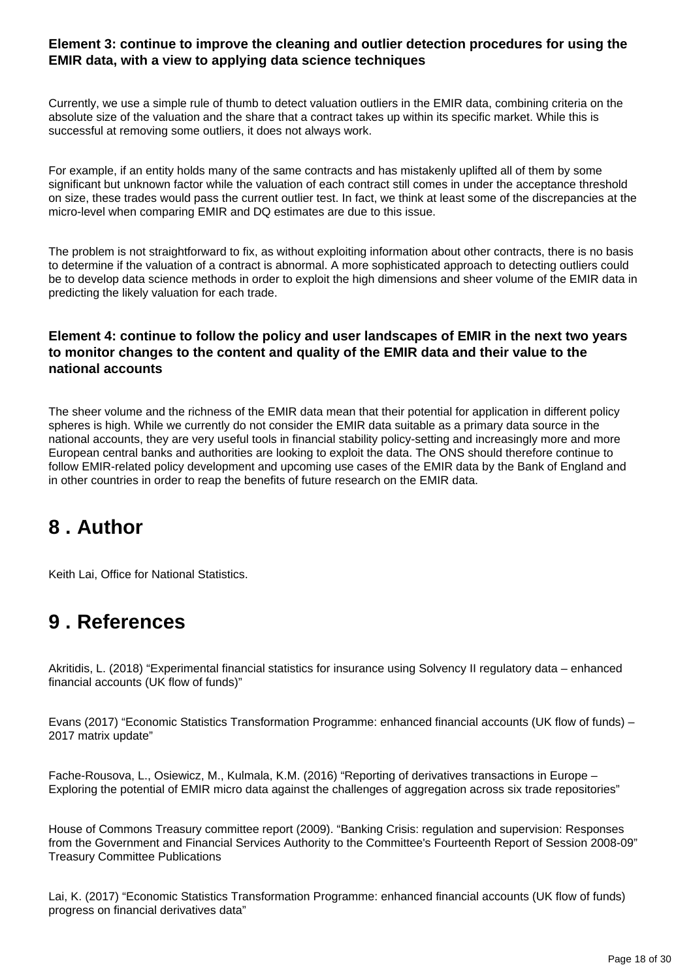#### **Element 3: continue to improve the cleaning and outlier detection procedures for using the EMIR data, with a view to applying data science techniques**

Currently, we use a simple rule of thumb to detect valuation outliers in the EMIR data, combining criteria on the absolute size of the valuation and the share that a contract takes up within its specific market. While this is successful at removing some outliers, it does not always work.

For example, if an entity holds many of the same contracts and has mistakenly uplifted all of them by some significant but unknown factor while the valuation of each contract still comes in under the acceptance threshold on size, these trades would pass the current outlier test. In fact, we think at least some of the discrepancies at the micro-level when comparing EMIR and DQ estimates are due to this issue.

The problem is not straightforward to fix, as without exploiting information about other contracts, there is no basis to determine if the valuation of a contract is abnormal. A more sophisticated approach to detecting outliers could be to develop data science methods in order to exploit the high dimensions and sheer volume of the EMIR data in predicting the likely valuation for each trade.

#### **Element 4: continue to follow the policy and user landscapes of EMIR in the next two years to monitor changes to the content and quality of the EMIR data and their value to the national accounts**

The sheer volume and the richness of the EMIR data mean that their potential for application in different policy spheres is high. While we currently do not consider the EMIR data suitable as a primary data source in the national accounts, they are very useful tools in financial stability policy-setting and increasingly more and more European central banks and authorities are looking to exploit the data. The ONS should therefore continue to follow EMIR-related policy development and upcoming use cases of the EMIR data by the Bank of England and in other countries in order to reap the benefits of future research on the EMIR data.

## <span id="page-17-0"></span>**8 . Author**

Keith Lai, Office for National Statistics.

## <span id="page-17-1"></span>**9 . References**

Akritidis, L. (2018) "Experimental financial statistics for insurance using Solvency II regulatory data – enhanced financial accounts (UK flow of funds)"

Evans (2017) "Economic Statistics Transformation Programme: enhanced financial accounts (UK flow of funds) – 2017 matrix update"

Fache-Rousova, L., Osiewicz, M., Kulmala, K.M. (2016) "Reporting of derivatives transactions in Europe – Exploring the potential of EMIR micro data against the challenges of aggregation across six trade repositories"

House of Commons Treasury committee report (2009). "Banking Crisis: regulation and supervision: Responses from the Government and Financial Services Authority to the Committee's Fourteenth Report of Session 2008-09" Treasury Committee Publications

Lai, K. (2017) "Economic Statistics Transformation Programme: enhanced financial accounts (UK flow of funds) progress on financial derivatives data"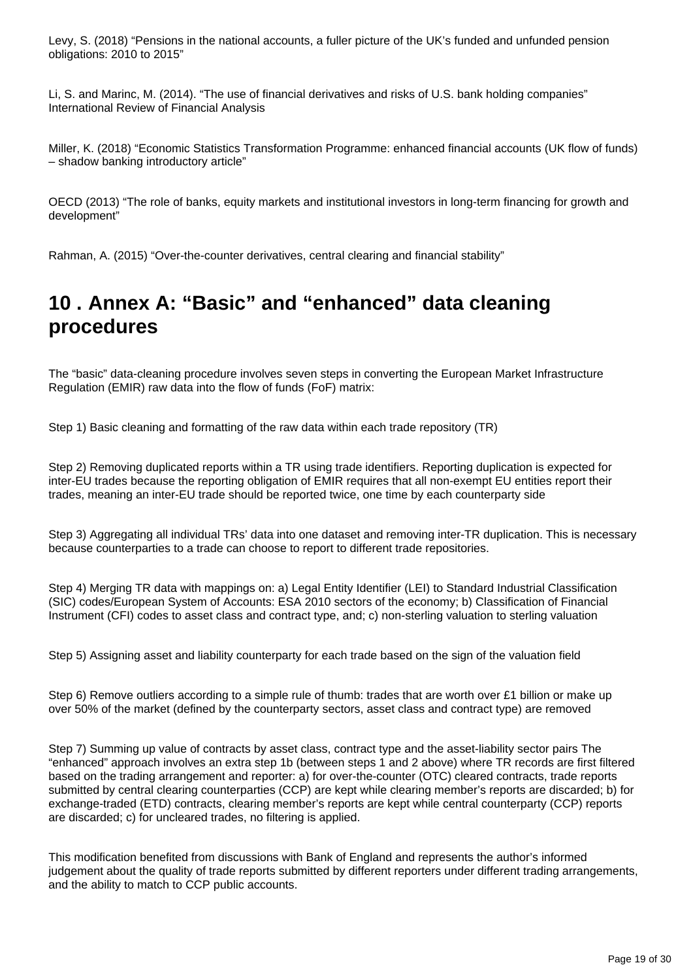Levy, S. (2018) "Pensions in the national accounts, a fuller picture of the UK's funded and unfunded pension obligations: 2010 to 2015"

Li, S. and Marinc, M. (2014). "The use of financial derivatives and risks of U.S. bank holding companies" International Review of Financial Analysis

Miller, K. (2018) "Economic Statistics Transformation Programme: enhanced financial accounts (UK flow of funds) – shadow banking introductory article"

OECD (2013) "The role of banks, equity markets and institutional investors in long-term financing for growth and development"

Rahman, A. (2015) "Over-the-counter derivatives, central clearing and financial stability"

## <span id="page-18-0"></span>**10 . Annex A: "Basic" and "enhanced" data cleaning procedures**

The "basic" data-cleaning procedure involves seven steps in converting the European Market Infrastructure Regulation (EMIR) raw data into the flow of funds (FoF) matrix:

Step 1) Basic cleaning and formatting of the raw data within each trade repository (TR)

Step 2) Removing duplicated reports within a TR using trade identifiers. Reporting duplication is expected for inter-EU trades because the reporting obligation of EMIR requires that all non-exempt EU entities report their trades, meaning an inter-EU trade should be reported twice, one time by each counterparty side

Step 3) Aggregating all individual TRs' data into one dataset and removing inter-TR duplication. This is necessary because counterparties to a trade can choose to report to different trade repositories.

Step 4) Merging TR data with mappings on: a) Legal Entity Identifier (LEI) to Standard Industrial Classification (SIC) codes/European System of Accounts: ESA 2010 sectors of the economy; b) Classification of Financial Instrument (CFI) codes to asset class and contract type, and; c) non-sterling valuation to sterling valuation

Step 5) Assigning asset and liability counterparty for each trade based on the sign of the valuation field

Step 6) Remove outliers according to a simple rule of thumb: trades that are worth over £1 billion or make up over 50% of the market (defined by the counterparty sectors, asset class and contract type) are removed

Step 7) Summing up value of contracts by asset class, contract type and the asset-liability sector pairs The "enhanced" approach involves an extra step 1b (between steps 1 and 2 above) where TR records are first filtered based on the trading arrangement and reporter: a) for over-the-counter (OTC) cleared contracts, trade reports submitted by central clearing counterparties (CCP) are kept while clearing member's reports are discarded; b) for exchange-traded (ETD) contracts, clearing member's reports are kept while central counterparty (CCP) reports are discarded; c) for uncleared trades, no filtering is applied.

This modification benefited from discussions with Bank of England and represents the author's informed judgement about the quality of trade reports submitted by different reporters under different trading arrangements, and the ability to match to CCP public accounts.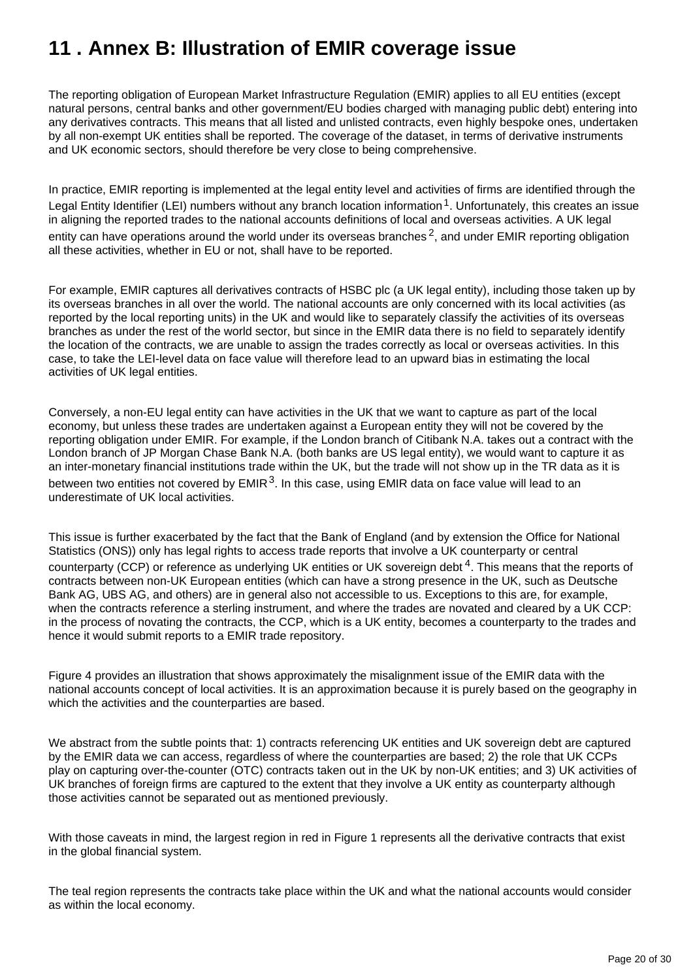## <span id="page-19-0"></span>**11 . Annex B: Illustration of EMIR coverage issue**

The reporting obligation of European Market Infrastructure Regulation (EMIR) applies to all EU entities (except natural persons, central banks and other government/EU bodies charged with managing public debt) entering into any derivatives contracts. This means that all listed and unlisted contracts, even highly bespoke ones, undertaken by all non-exempt UK entities shall be reported. The coverage of the dataset, in terms of derivative instruments and UK economic sectors, should therefore be very close to being comprehensive.

In practice, EMIR reporting is implemented at the legal entity level and activities of firms are identified through the Legal Entity Identifier (LEI) numbers without any branch location information  $1$ . Unfortunately, this creates an issue in aligning the reported trades to the national accounts definitions of local and overseas activities. A UK legal entity can have operations around the world under its overseas branches  $2$ , and under EMIR reporting obligation all these activities, whether in EU or not, shall have to be reported.

For example, EMIR captures all derivatives contracts of HSBC plc (a UK legal entity), including those taken up by its overseas branches in all over the world. The national accounts are only concerned with its local activities (as reported by the local reporting units) in the UK and would like to separately classify the activities of its overseas branches as under the rest of the world sector, but since in the EMIR data there is no field to separately identify the location of the contracts, we are unable to assign the trades correctly as local or overseas activities. In this case, to take the LEI-level data on face value will therefore lead to an upward bias in estimating the local activities of UK legal entities.

Conversely, a non-EU legal entity can have activities in the UK that we want to capture as part of the local economy, but unless these trades are undertaken against a European entity they will not be covered by the reporting obligation under EMIR. For example, if the London branch of Citibank N.A. takes out a contract with the London branch of JP Morgan Chase Bank N.A. (both banks are US legal entity), we would want to capture it as an inter-monetary financial institutions trade within the UK, but the trade will not show up in the TR data as it is between two entities not covered by  $EMIR<sup>3</sup>$ . In this case, using EMIR data on face value will lead to an underestimate of UK local activities.

This issue is further exacerbated by the fact that the Bank of England (and by extension the Office for National Statistics (ONS)) only has legal rights to access trade reports that involve a UK counterparty or central counterparty (CCP) or reference as underlying UK entities or UK sovereign debt  $4$ . This means that the reports of contracts between non-UK European entities (which can have a strong presence in the UK, such as Deutsche Bank AG, UBS AG, and others) are in general also not accessible to us. Exceptions to this are, for example, when the contracts reference a sterling instrument, and where the trades are novated and cleared by a UK CCP: in the process of novating the contracts, the CCP, which is a UK entity, becomes a counterparty to the trades and hence it would submit reports to a EMIR trade repository.

Figure 4 provides an illustration that shows approximately the misalignment issue of the EMIR data with the national accounts concept of local activities. It is an approximation because it is purely based on the geography in which the activities and the counterparties are based.

We abstract from the subtle points that: 1) contracts referencing UK entities and UK sovereign debt are captured by the EMIR data we can access, regardless of where the counterparties are based; 2) the role that UK CCPs play on capturing over-the-counter (OTC) contracts taken out in the UK by non-UK entities; and 3) UK activities of UK branches of foreign firms are captured to the extent that they involve a UK entity as counterparty although those activities cannot be separated out as mentioned previously.

With those caveats in mind, the largest region in red in Figure 1 represents all the derivative contracts that exist in the global financial system.

The teal region represents the contracts take place within the UK and what the national accounts would consider as within the local economy.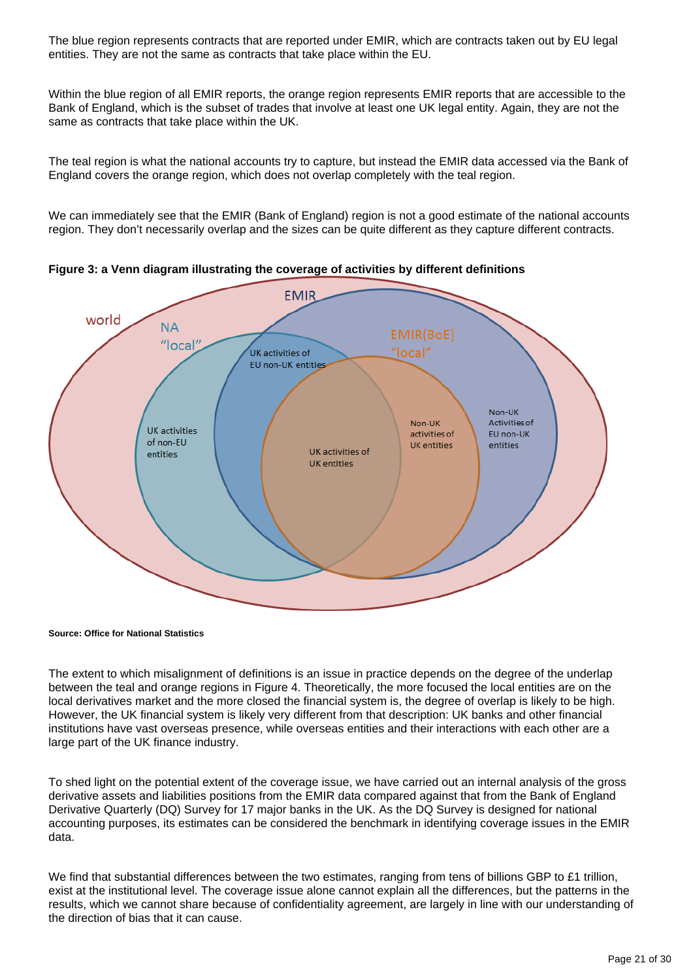The blue region represents contracts that are reported under EMIR, which are contracts taken out by EU legal entities. They are not the same as contracts that take place within the EU.

Within the blue region of all EMIR reports, the orange region represents EMIR reports that are accessible to the Bank of England, which is the subset of trades that involve at least one UK legal entity. Again, they are not the same as contracts that take place within the UK.

The teal region is what the national accounts try to capture, but instead the EMIR data accessed via the Bank of England covers the orange region, which does not overlap completely with the teal region.

We can immediately see that the EMIR (Bank of England) region is not a good estimate of the national accounts region. They don't necessarily overlap and the sizes can be quite different as they capture different contracts.



**Figure 3: a Venn diagram illustrating the coverage of activities by different definitions**

**Source: Office for National Statistics**

The extent to which misalignment of definitions is an issue in practice depends on the degree of the underlap between the teal and orange regions in Figure 4. Theoretically, the more focused the local entities are on the local derivatives market and the more closed the financial system is, the degree of overlap is likely to be high. However, the UK financial system is likely very different from that description: UK banks and other financial institutions have vast overseas presence, while overseas entities and their interactions with each other are a large part of the UK finance industry.

To shed light on the potential extent of the coverage issue, we have carried out an internal analysis of the gross derivative assets and liabilities positions from the EMIR data compared against that from the Bank of England Derivative Quarterly (DQ) Survey for 17 major banks in the UK. As the DQ Survey is designed for national accounting purposes, its estimates can be considered the benchmark in identifying coverage issues in the EMIR data.

We find that substantial differences between the two estimates, ranging from tens of billions GBP to £1 trillion, exist at the institutional level. The coverage issue alone cannot explain all the differences, but the patterns in the results, which we cannot share because of confidentiality agreement, are largely in line with our understanding of the direction of bias that it can cause.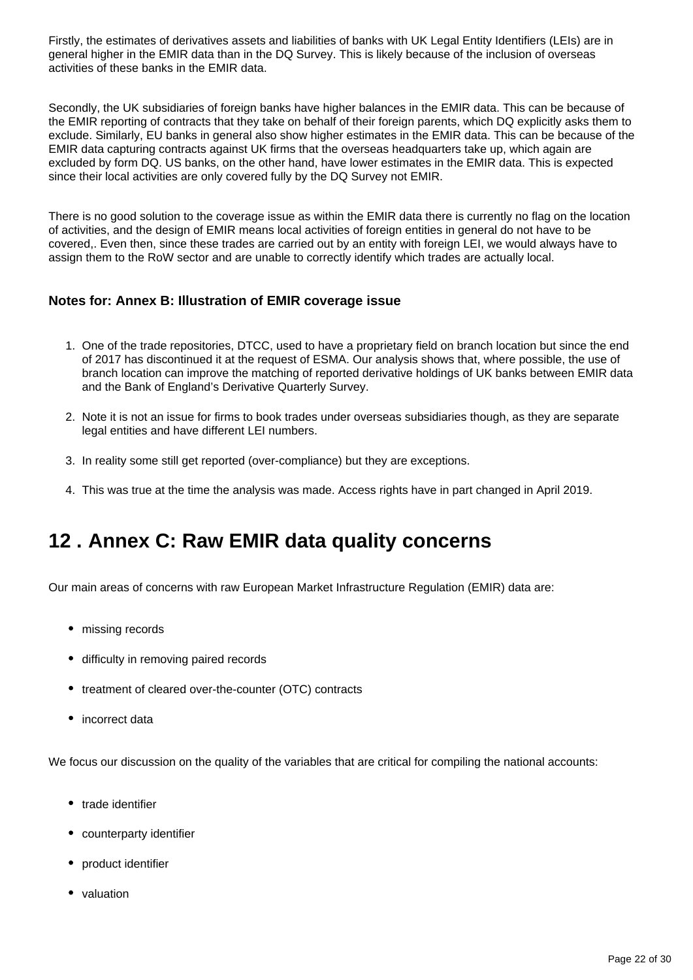Firstly, the estimates of derivatives assets and liabilities of banks with UK Legal Entity Identifiers (LEIs) are in general higher in the EMIR data than in the DQ Survey. This is likely because of the inclusion of overseas activities of these banks in the EMIR data.

Secondly, the UK subsidiaries of foreign banks have higher balances in the EMIR data. This can be because of the EMIR reporting of contracts that they take on behalf of their foreign parents, which DQ explicitly asks them to exclude. Similarly, EU banks in general also show higher estimates in the EMIR data. This can be because of the EMIR data capturing contracts against UK firms that the overseas headquarters take up, which again are excluded by form DQ. US banks, on the other hand, have lower estimates in the EMIR data. This is expected since their local activities are only covered fully by the DQ Survey not EMIR.

There is no good solution to the coverage issue as within the EMIR data there is currently no flag on the location of activities, and the design of EMIR means local activities of foreign entities in general do not have to be covered,. Even then, since these trades are carried out by an entity with foreign LEI, we would always have to assign them to the RoW sector and are unable to correctly identify which trades are actually local.

#### **Notes for: Annex B: Illustration of EMIR coverage issue**

- 1. One of the trade repositories, DTCC, used to have a proprietary field on branch location but since the end of 2017 has discontinued it at the request of ESMA. Our analysis shows that, where possible, the use of branch location can improve the matching of reported derivative holdings of UK banks between EMIR data and the Bank of England's Derivative Quarterly Survey.
- 2. Note it is not an issue for firms to book trades under overseas subsidiaries though, as they are separate legal entities and have different LEI numbers.
- 3. In reality some still get reported (over-compliance) but they are exceptions.
- 4. This was true at the time the analysis was made. Access rights have in part changed in April 2019.

## <span id="page-21-0"></span>**12 . Annex C: Raw EMIR data quality concerns**

Our main areas of concerns with raw European Market Infrastructure Regulation (EMIR) data are:

- missing records
- difficulty in removing paired records
- treatment of cleared over-the-counter (OTC) contracts
- incorrect data

We focus our discussion on the quality of the variables that are critical for compiling the national accounts:

- trade identifier
- counterparty identifier
- product identifier
- valuation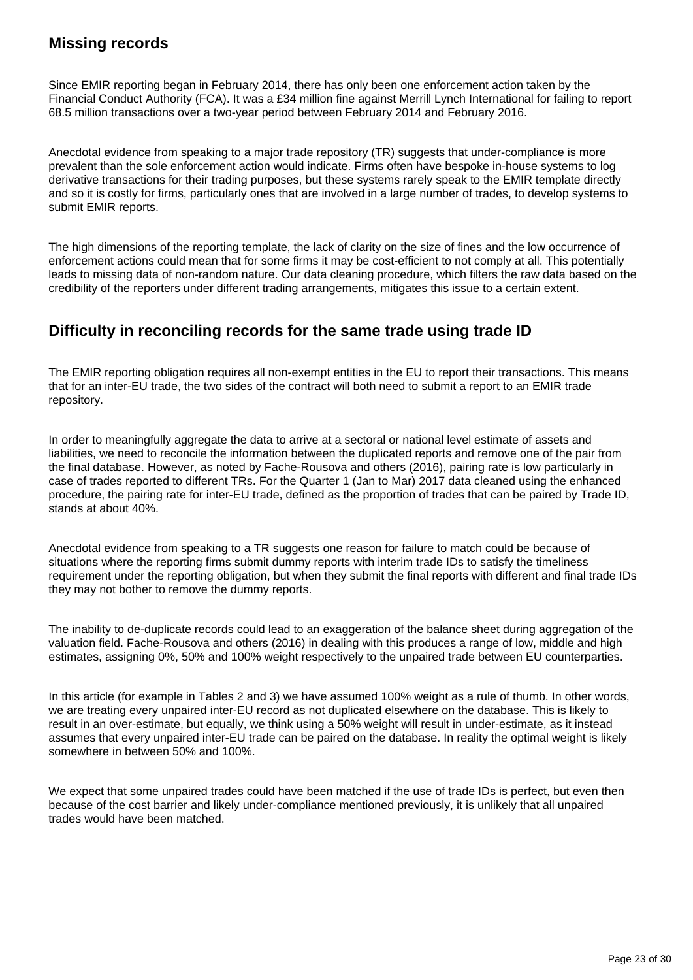## **Missing records**

Since EMIR reporting began in February 2014, there has only been one enforcement action taken by the Financial Conduct Authority (FCA). It was a £34 million fine against Merrill Lynch International for failing to report 68.5 million transactions over a two-year period between February 2014 and February 2016.

Anecdotal evidence from speaking to a major trade repository (TR) suggests that under-compliance is more prevalent than the sole enforcement action would indicate. Firms often have bespoke in-house systems to log derivative transactions for their trading purposes, but these systems rarely speak to the EMIR template directly and so it is costly for firms, particularly ones that are involved in a large number of trades, to develop systems to submit EMIR reports.

The high dimensions of the reporting template, the lack of clarity on the size of fines and the low occurrence of enforcement actions could mean that for some firms it may be cost-efficient to not comply at all. This potentially leads to missing data of non-random nature. Our data cleaning procedure, which filters the raw data based on the credibility of the reporters under different trading arrangements, mitigates this issue to a certain extent.

### **Difficulty in reconciling records for the same trade using trade ID**

The EMIR reporting obligation requires all non-exempt entities in the EU to report their transactions. This means that for an inter-EU trade, the two sides of the contract will both need to submit a report to an EMIR trade repository.

In order to meaningfully aggregate the data to arrive at a sectoral or national level estimate of assets and liabilities, we need to reconcile the information between the duplicated reports and remove one of the pair from the final database. However, as noted by Fache-Rousova and others (2016), pairing rate is low particularly in case of trades reported to different TRs. For the Quarter 1 (Jan to Mar) 2017 data cleaned using the enhanced procedure, the pairing rate for inter-EU trade, defined as the proportion of trades that can be paired by Trade ID, stands at about 40%.

Anecdotal evidence from speaking to a TR suggests one reason for failure to match could be because of situations where the reporting firms submit dummy reports with interim trade IDs to satisfy the timeliness requirement under the reporting obligation, but when they submit the final reports with different and final trade IDs they may not bother to remove the dummy reports.

The inability to de-duplicate records could lead to an exaggeration of the balance sheet during aggregation of the valuation field. Fache-Rousova and others (2016) in dealing with this produces a range of low, middle and high estimates, assigning 0%, 50% and 100% weight respectively to the unpaired trade between EU counterparties.

In this article (for example in Tables 2 and 3) we have assumed 100% weight as a rule of thumb. In other words, we are treating every unpaired inter-EU record as not duplicated elsewhere on the database. This is likely to result in an over-estimate, but equally, we think using a 50% weight will result in under-estimate, as it instead assumes that every unpaired inter-EU trade can be paired on the database. In reality the optimal weight is likely somewhere in between 50% and 100%.

We expect that some unpaired trades could have been matched if the use of trade IDs is perfect, but even then because of the cost barrier and likely under-compliance mentioned previously, it is unlikely that all unpaired trades would have been matched.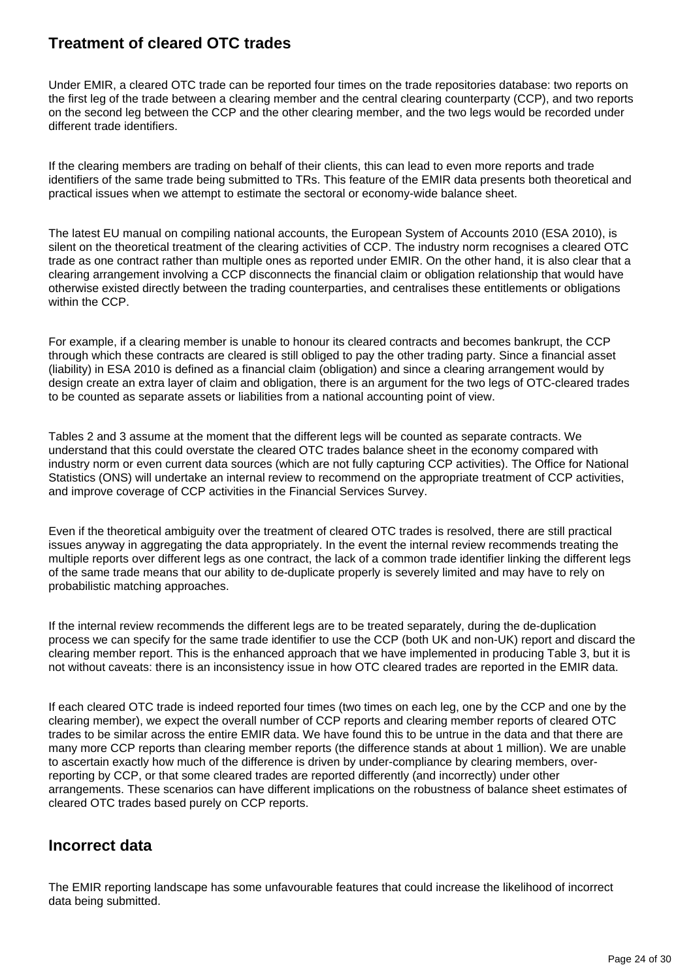### **Treatment of cleared OTC trades**

Under EMIR, a cleared OTC trade can be reported four times on the trade repositories database: two reports on the first leg of the trade between a clearing member and the central clearing counterparty (CCP), and two reports on the second leg between the CCP and the other clearing member, and the two legs would be recorded under different trade identifiers.

If the clearing members are trading on behalf of their clients, this can lead to even more reports and trade identifiers of the same trade being submitted to TRs. This feature of the EMIR data presents both theoretical and practical issues when we attempt to estimate the sectoral or economy-wide balance sheet.

The latest EU manual on compiling national accounts, the European System of Accounts 2010 (ESA 2010), is silent on the theoretical treatment of the clearing activities of CCP. The industry norm recognises a cleared OTC trade as one contract rather than multiple ones as reported under EMIR. On the other hand, it is also clear that a clearing arrangement involving a CCP disconnects the financial claim or obligation relationship that would have otherwise existed directly between the trading counterparties, and centralises these entitlements or obligations within the CCP.

For example, if a clearing member is unable to honour its cleared contracts and becomes bankrupt, the CCP through which these contracts are cleared is still obliged to pay the other trading party. Since a financial asset (liability) in ESA 2010 is defined as a financial claim (obligation) and since a clearing arrangement would by design create an extra layer of claim and obligation, there is an argument for the two legs of OTC-cleared trades to be counted as separate assets or liabilities from a national accounting point of view.

Tables 2 and 3 assume at the moment that the different legs will be counted as separate contracts. We understand that this could overstate the cleared OTC trades balance sheet in the economy compared with industry norm or even current data sources (which are not fully capturing CCP activities). The Office for National Statistics (ONS) will undertake an internal review to recommend on the appropriate treatment of CCP activities, and improve coverage of CCP activities in the Financial Services Survey.

Even if the theoretical ambiguity over the treatment of cleared OTC trades is resolved, there are still practical issues anyway in aggregating the data appropriately. In the event the internal review recommends treating the multiple reports over different legs as one contract, the lack of a common trade identifier linking the different legs of the same trade means that our ability to de-duplicate properly is severely limited and may have to rely on probabilistic matching approaches.

If the internal review recommends the different legs are to be treated separately, during the de-duplication process we can specify for the same trade identifier to use the CCP (both UK and non-UK) report and discard the clearing member report. This is the enhanced approach that we have implemented in producing Table 3, but it is not without caveats: there is an inconsistency issue in how OTC cleared trades are reported in the EMIR data.

If each cleared OTC trade is indeed reported four times (two times on each leg, one by the CCP and one by the clearing member), we expect the overall number of CCP reports and clearing member reports of cleared OTC trades to be similar across the entire EMIR data. We have found this to be untrue in the data and that there are many more CCP reports than clearing member reports (the difference stands at about 1 million). We are unable to ascertain exactly how much of the difference is driven by under-compliance by clearing members, overreporting by CCP, or that some cleared trades are reported differently (and incorrectly) under other arrangements. These scenarios can have different implications on the robustness of balance sheet estimates of cleared OTC trades based purely on CCP reports.

### **Incorrect data**

The EMIR reporting landscape has some unfavourable features that could increase the likelihood of incorrect data being submitted.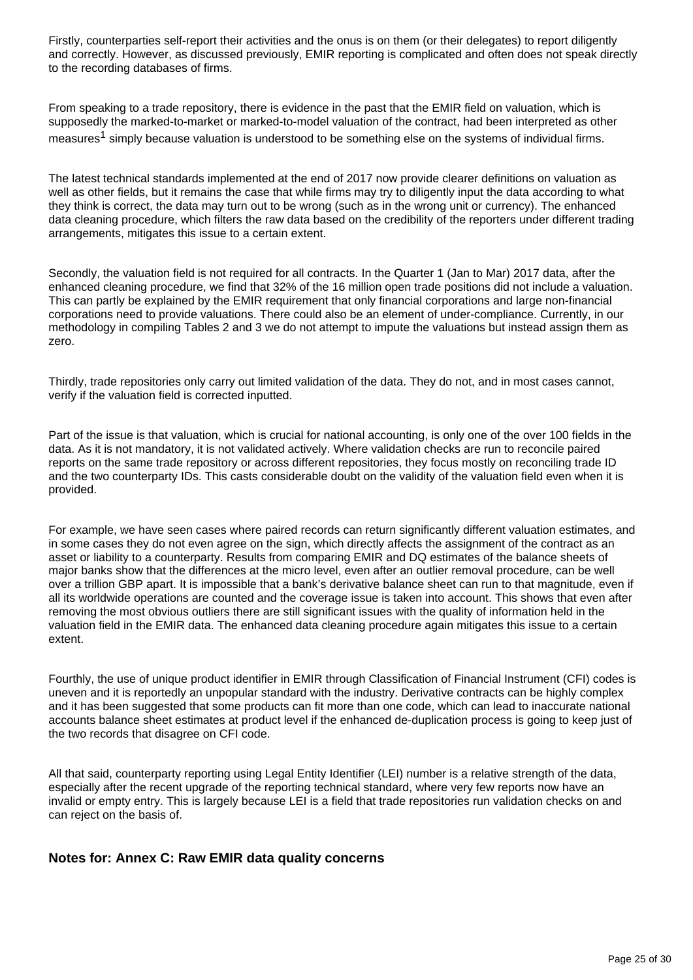Firstly, counterparties self-report their activities and the onus is on them (or their delegates) to report diligently and correctly. However, as discussed previously, EMIR reporting is complicated and often does not speak directly to the recording databases of firms.

From speaking to a trade repository, there is evidence in the past that the EMIR field on valuation, which is supposedly the marked-to-market or marked-to-model valuation of the contract, had been interpreted as other measures<sup>1</sup> simply because valuation is understood to be something else on the systems of individual firms.

The latest technical standards implemented at the end of 2017 now provide clearer definitions on valuation as well as other fields, but it remains the case that while firms may try to diligently input the data according to what they think is correct, the data may turn out to be wrong (such as in the wrong unit or currency). The enhanced data cleaning procedure, which filters the raw data based on the credibility of the reporters under different trading arrangements, mitigates this issue to a certain extent.

Secondly, the valuation field is not required for all contracts. In the Quarter 1 (Jan to Mar) 2017 data, after the enhanced cleaning procedure, we find that 32% of the 16 million open trade positions did not include a valuation. This can partly be explained by the EMIR requirement that only financial corporations and large non-financial corporations need to provide valuations. There could also be an element of under-compliance. Currently, in our methodology in compiling Tables 2 and 3 we do not attempt to impute the valuations but instead assign them as zero.

Thirdly, trade repositories only carry out limited validation of the data. They do not, and in most cases cannot, verify if the valuation field is corrected inputted.

Part of the issue is that valuation, which is crucial for national accounting, is only one of the over 100 fields in the data. As it is not mandatory, it is not validated actively. Where validation checks are run to reconcile paired reports on the same trade repository or across different repositories, they focus mostly on reconciling trade ID and the two counterparty IDs. This casts considerable doubt on the validity of the valuation field even when it is provided.

For example, we have seen cases where paired records can return significantly different valuation estimates, and in some cases they do not even agree on the sign, which directly affects the assignment of the contract as an asset or liability to a counterparty. Results from comparing EMIR and DQ estimates of the balance sheets of major banks show that the differences at the micro level, even after an outlier removal procedure, can be well over a trillion GBP apart. It is impossible that a bank's derivative balance sheet can run to that magnitude, even if all its worldwide operations are counted and the coverage issue is taken into account. This shows that even after removing the most obvious outliers there are still significant issues with the quality of information held in the valuation field in the EMIR data. The enhanced data cleaning procedure again mitigates this issue to a certain extent.

Fourthly, the use of unique product identifier in EMIR through Classification of Financial Instrument (CFI) codes is uneven and it is reportedly an unpopular standard with the industry. Derivative contracts can be highly complex and it has been suggested that some products can fit more than one code, which can lead to inaccurate national accounts balance sheet estimates at product level if the enhanced de-duplication process is going to keep just of the two records that disagree on CFI code.

All that said, counterparty reporting using Legal Entity Identifier (LEI) number is a relative strength of the data, especially after the recent upgrade of the reporting technical standard, where very few reports now have an invalid or empty entry. This is largely because LEI is a field that trade repositories run validation checks on and can reject on the basis of.

#### **Notes for: Annex C: Raw EMIR data quality concerns**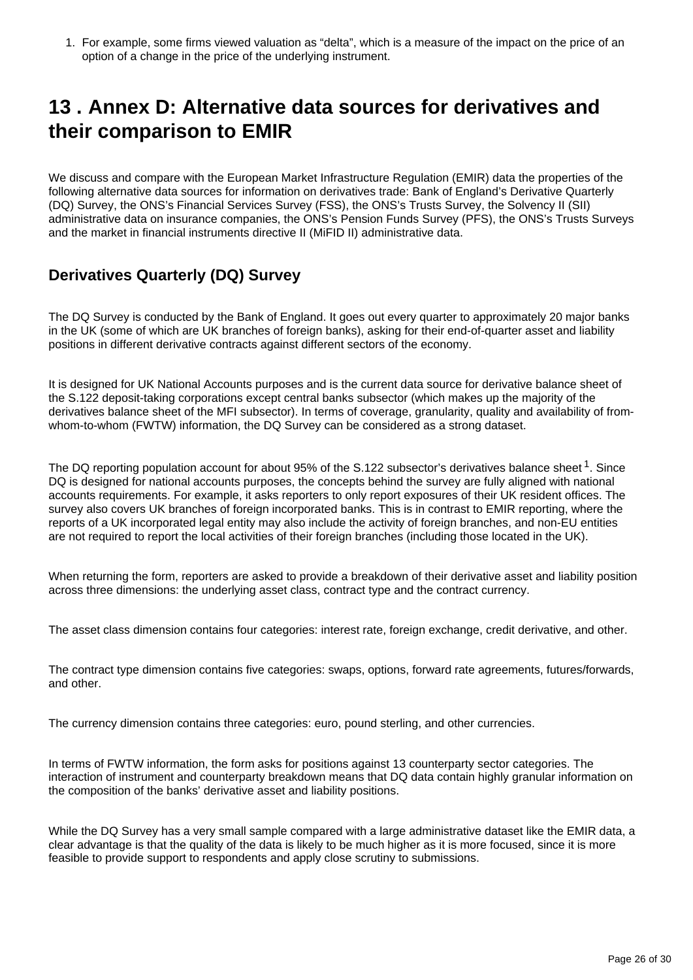1. For example, some firms viewed valuation as "delta", which is a measure of the impact on the price of an option of a change in the price of the underlying instrument.

## <span id="page-25-0"></span>**13 . Annex D: Alternative data sources for derivatives and their comparison to EMIR**

We discuss and compare with the European Market Infrastructure Regulation (EMIR) data the properties of the following alternative data sources for information on derivatives trade: Bank of England's Derivative Quarterly (DQ) Survey, the ONS's Financial Services Survey (FSS), the ONS's Trusts Survey, the Solvency II (SII) administrative data on insurance companies, the ONS's Pension Funds Survey (PFS), the ONS's Trusts Surveys and the market in financial instruments directive II (MiFID II) administrative data.

### **Derivatives Quarterly (DQ) Survey**

The DQ Survey is conducted by the Bank of England. It goes out every quarter to approximately 20 major banks in the UK (some of which are UK branches of foreign banks), asking for their end-of-quarter asset and liability positions in different derivative contracts against different sectors of the economy.

It is designed for UK National Accounts purposes and is the current data source for derivative balance sheet of the S.122 deposit-taking corporations except central banks subsector (which makes up the majority of the derivatives balance sheet of the MFI subsector). In terms of coverage, granularity, quality and availability of fromwhom-to-whom (FWTW) information, the DQ Survey can be considered as a strong dataset.

The DQ reporting population account for about 95% of the S.122 subsector's derivatives balance sheet <sup>1</sup>. Since DQ is designed for national accounts purposes, the concepts behind the survey are fully aligned with national accounts requirements. For example, it asks reporters to only report exposures of their UK resident offices. The survey also covers UK branches of foreign incorporated banks. This is in contrast to EMIR reporting, where the reports of a UK incorporated legal entity may also include the activity of foreign branches, and non-EU entities are not required to report the local activities of their foreign branches (including those located in the UK).

When returning the form, reporters are asked to provide a breakdown of their derivative asset and liability position across three dimensions: the underlying asset class, contract type and the contract currency.

The asset class dimension contains four categories: interest rate, foreign exchange, credit derivative, and other.

The contract type dimension contains five categories: swaps, options, forward rate agreements, futures/forwards, and other.

The currency dimension contains three categories: euro, pound sterling, and other currencies.

In terms of FWTW information, the form asks for positions against 13 counterparty sector categories. The interaction of instrument and counterparty breakdown means that DQ data contain highly granular information on the composition of the banks' derivative asset and liability positions.

While the DQ Survey has a very small sample compared with a large administrative dataset like the EMIR data, a clear advantage is that the quality of the data is likely to be much higher as it is more focused, since it is more feasible to provide support to respondents and apply close scrutiny to submissions.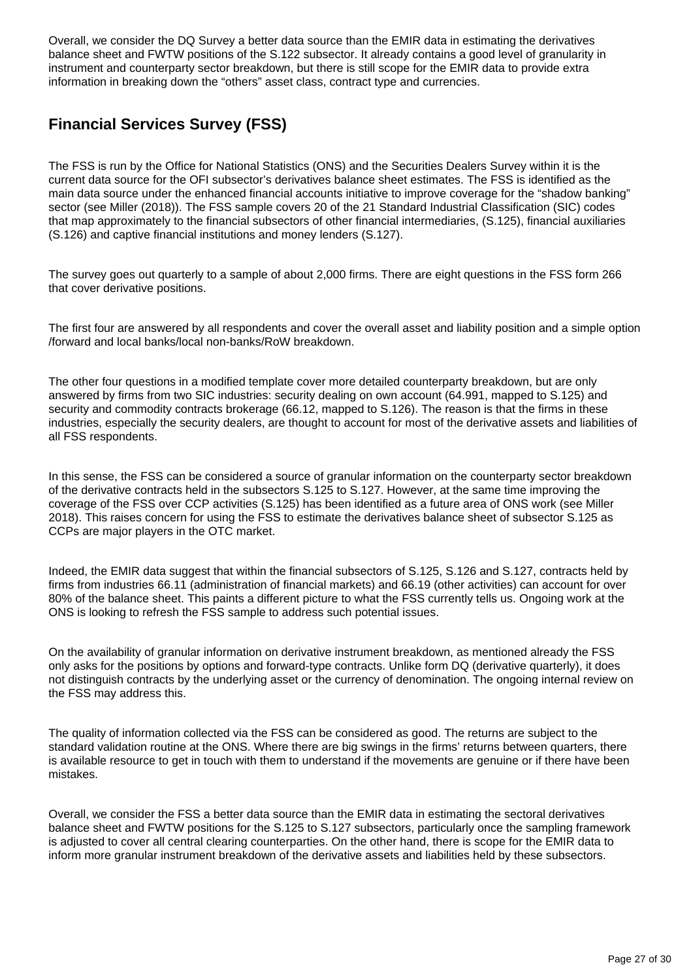Overall, we consider the DQ Survey a better data source than the EMIR data in estimating the derivatives balance sheet and FWTW positions of the S.122 subsector. It already contains a good level of granularity in instrument and counterparty sector breakdown, but there is still scope for the EMIR data to provide extra information in breaking down the "others" asset class, contract type and currencies.

## **Financial Services Survey (FSS)**

The FSS is run by the Office for National Statistics (ONS) and the Securities Dealers Survey within it is the current data source for the OFI subsector's derivatives balance sheet estimates. The FSS is identified as the main data source under the enhanced financial accounts initiative to improve coverage for the "shadow banking" sector (see Miller (2018)). The FSS sample covers 20 of the 21 Standard Industrial Classification (SIC) codes that map approximately to the financial subsectors of other financial intermediaries, (S.125), financial auxiliaries (S.126) and captive financial institutions and money lenders (S.127).

The survey goes out quarterly to a sample of about 2,000 firms. There are eight questions in the FSS form 266 that cover derivative positions.

The first four are answered by all respondents and cover the overall asset and liability position and a simple option /forward and local banks/local non-banks/RoW breakdown.

The other four questions in a modified template cover more detailed counterparty breakdown, but are only answered by firms from two SIC industries: security dealing on own account (64.991, mapped to S.125) and security and commodity contracts brokerage (66.12, mapped to S.126). The reason is that the firms in these industries, especially the security dealers, are thought to account for most of the derivative assets and liabilities of all FSS respondents.

In this sense, the FSS can be considered a source of granular information on the counterparty sector breakdown of the derivative contracts held in the subsectors S.125 to S.127. However, at the same time improving the coverage of the FSS over CCP activities (S.125) has been identified as a future area of ONS work (see Miller 2018). This raises concern for using the FSS to estimate the derivatives balance sheet of subsector S.125 as CCPs are major players in the OTC market.

Indeed, the EMIR data suggest that within the financial subsectors of S.125, S.126 and S.127, contracts held by firms from industries 66.11 (administration of financial markets) and 66.19 (other activities) can account for over 80% of the balance sheet. This paints a different picture to what the FSS currently tells us. Ongoing work at the ONS is looking to refresh the FSS sample to address such potential issues.

On the availability of granular information on derivative instrument breakdown, as mentioned already the FSS only asks for the positions by options and forward-type contracts. Unlike form DQ (derivative quarterly), it does not distinguish contracts by the underlying asset or the currency of denomination. The ongoing internal review on the FSS may address this.

The quality of information collected via the FSS can be considered as good. The returns are subject to the standard validation routine at the ONS. Where there are big swings in the firms' returns between quarters, there is available resource to get in touch with them to understand if the movements are genuine or if there have been mistakes.

Overall, we consider the FSS a better data source than the EMIR data in estimating the sectoral derivatives balance sheet and FWTW positions for the S.125 to S.127 subsectors, particularly once the sampling framework is adjusted to cover all central clearing counterparties. On the other hand, there is scope for the EMIR data to inform more granular instrument breakdown of the derivative assets and liabilities held by these subsectors.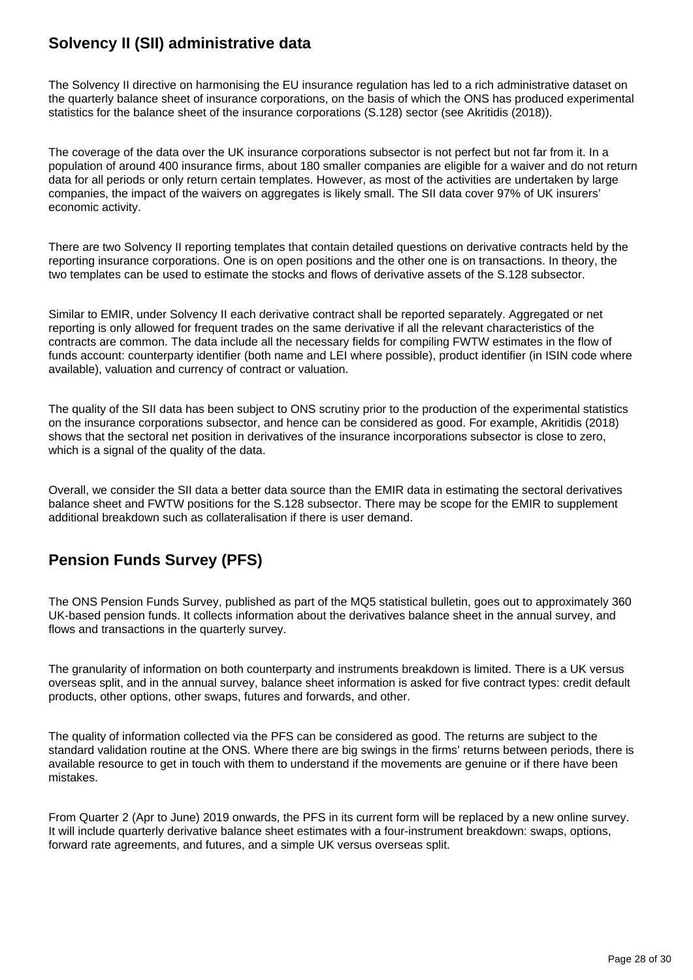## **Solvency II (SII) administrative data**

The Solvency II directive on harmonising the EU insurance regulation has led to a rich administrative dataset on the quarterly balance sheet of insurance corporations, on the basis of which the ONS has produced experimental statistics for the balance sheet of the insurance corporations (S.128) sector (see Akritidis (2018)).

The coverage of the data over the UK insurance corporations subsector is not perfect but not far from it. In a population of around 400 insurance firms, about 180 smaller companies are eligible for a waiver and do not return data for all periods or only return certain templates. However, as most of the activities are undertaken by large companies, the impact of the waivers on aggregates is likely small. The SII data cover 97% of UK insurers' economic activity.

There are two Solvency II reporting templates that contain detailed questions on derivative contracts held by the reporting insurance corporations. One is on open positions and the other one is on transactions. In theory, the two templates can be used to estimate the stocks and flows of derivative assets of the S.128 subsector.

Similar to EMIR, under Solvency II each derivative contract shall be reported separately. Aggregated or net reporting is only allowed for frequent trades on the same derivative if all the relevant characteristics of the contracts are common. The data include all the necessary fields for compiling FWTW estimates in the flow of funds account: counterparty identifier (both name and LEI where possible), product identifier (in ISIN code where available), valuation and currency of contract or valuation.

The quality of the SII data has been subject to ONS scrutiny prior to the production of the experimental statistics on the insurance corporations subsector, and hence can be considered as good. For example, Akritidis (2018) shows that the sectoral net position in derivatives of the insurance incorporations subsector is close to zero, which is a signal of the quality of the data.

Overall, we consider the SII data a better data source than the EMIR data in estimating the sectoral derivatives balance sheet and FWTW positions for the S.128 subsector. There may be scope for the EMIR to supplement additional breakdown such as collateralisation if there is user demand.

## **Pension Funds Survey (PFS)**

The ONS Pension Funds Survey, published as part of the MQ5 statistical bulletin, goes out to approximately 360 UK-based pension funds. It collects information about the derivatives balance sheet in the annual survey, and flows and transactions in the quarterly survey.

The granularity of information on both counterparty and instruments breakdown is limited. There is a UK versus overseas split, and in the annual survey, balance sheet information is asked for five contract types: credit default products, other options, other swaps, futures and forwards, and other.

The quality of information collected via the PFS can be considered as good. The returns are subject to the standard validation routine at the ONS. Where there are big swings in the firms' returns between periods, there is available resource to get in touch with them to understand if the movements are genuine or if there have been mistakes.

From Quarter 2 (Apr to June) 2019 onwards, the PFS in its current form will be replaced by a new online survey. It will include quarterly derivative balance sheet estimates with a four-instrument breakdown: swaps, options, forward rate agreements, and futures, and a simple UK versus overseas split.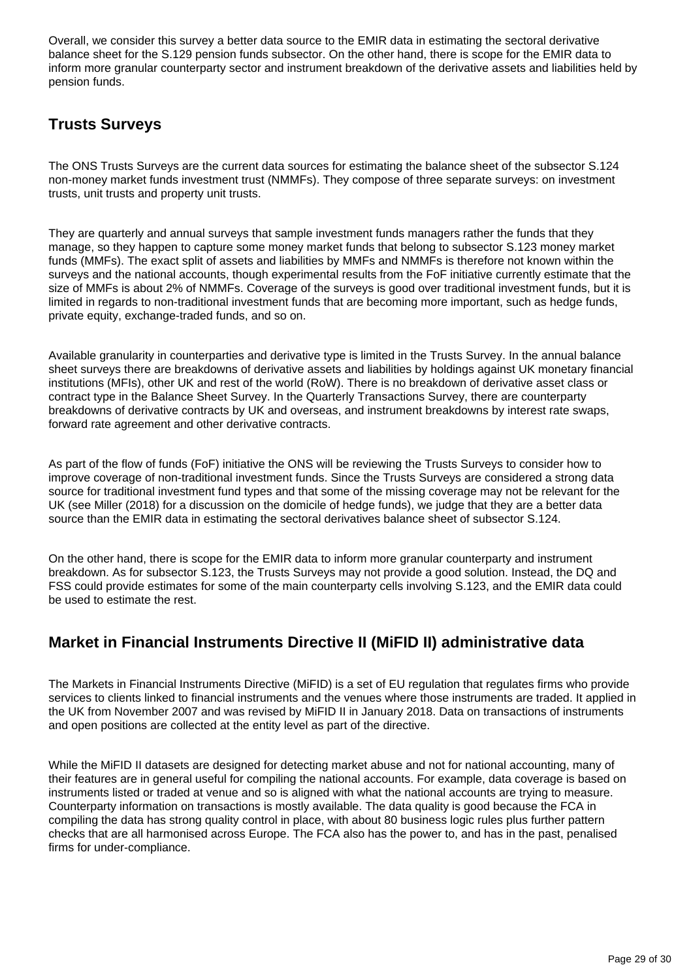Overall, we consider this survey a better data source to the EMIR data in estimating the sectoral derivative balance sheet for the S.129 pension funds subsector. On the other hand, there is scope for the EMIR data to inform more granular counterparty sector and instrument breakdown of the derivative assets and liabilities held by pension funds.

## **Trusts Surveys**

The ONS Trusts Surveys are the current data sources for estimating the balance sheet of the subsector S.124 non-money market funds investment trust (NMMFs). They compose of three separate surveys: on investment trusts, unit trusts and property unit trusts.

They are quarterly and annual surveys that sample investment funds managers rather the funds that they manage, so they happen to capture some money market funds that belong to subsector S.123 money market funds (MMFs). The exact split of assets and liabilities by MMFs and NMMFs is therefore not known within the surveys and the national accounts, though experimental results from the FoF initiative currently estimate that the size of MMFs is about 2% of NMMFs. Coverage of the surveys is good over traditional investment funds, but it is limited in regards to non-traditional investment funds that are becoming more important, such as hedge funds, private equity, exchange-traded funds, and so on.

Available granularity in counterparties and derivative type is limited in the Trusts Survey. In the annual balance sheet surveys there are breakdowns of derivative assets and liabilities by holdings against UK monetary financial institutions (MFIs), other UK and rest of the world (RoW). There is no breakdown of derivative asset class or contract type in the Balance Sheet Survey. In the Quarterly Transactions Survey, there are counterparty breakdowns of derivative contracts by UK and overseas, and instrument breakdowns by interest rate swaps, forward rate agreement and other derivative contracts.

As part of the flow of funds (FoF) initiative the ONS will be reviewing the Trusts Surveys to consider how to improve coverage of non-traditional investment funds. Since the Trusts Surveys are considered a strong data source for traditional investment fund types and that some of the missing coverage may not be relevant for the UK (see Miller (2018) for a discussion on the domicile of hedge funds), we judge that they are a better data source than the EMIR data in estimating the sectoral derivatives balance sheet of subsector S.124.

On the other hand, there is scope for the EMIR data to inform more granular counterparty and instrument breakdown. As for subsector S.123, the Trusts Surveys may not provide a good solution. Instead, the DQ and FSS could provide estimates for some of the main counterparty cells involving S.123, and the EMIR data could be used to estimate the rest.

### **Market in Financial Instruments Directive II (MiFID II) administrative data**

The Markets in Financial Instruments Directive (MiFID) is a set of EU regulation that regulates firms who provide services to clients linked to financial instruments and the venues where those instruments are traded. It applied in the UK from November 2007 and was revised by MiFID II in January 2018. Data on transactions of instruments and open positions are collected at the entity level as part of the directive.

While the MiFID II datasets are designed for detecting market abuse and not for national accounting, many of their features are in general useful for compiling the national accounts. For example, data coverage is based on instruments listed or traded at venue and so is aligned with what the national accounts are trying to measure. Counterparty information on transactions is mostly available. The data quality is good because the FCA in compiling the data has strong quality control in place, with about 80 business logic rules plus further pattern checks that are all harmonised across Europe. The FCA also has the power to, and has in the past, penalised firms for under-compliance.